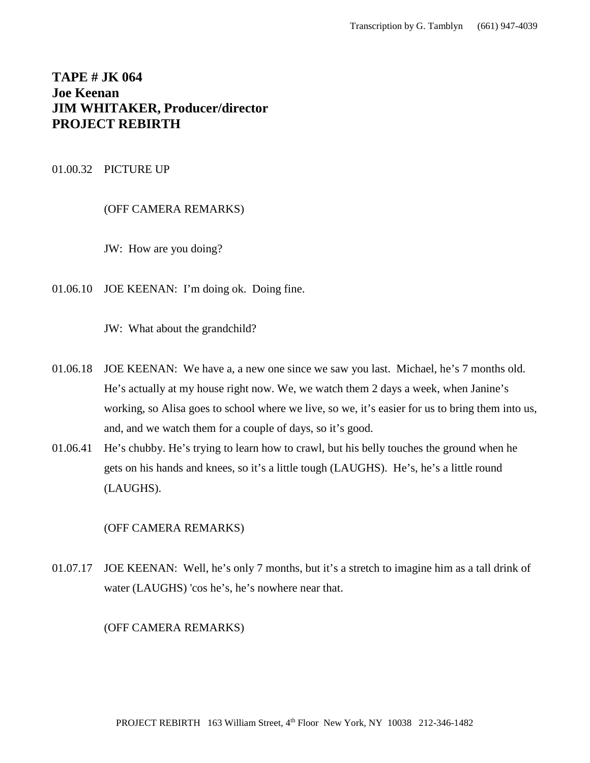# **TAPE # JK 064 Joe Keenan JIM WHITAKER, Producer/director PROJECT REBIRTH**

# 01.00.32 PICTURE UP

(OFF CAMERA REMARKS)

JW: How are you doing?

01.06.10 JOE KEENAN: I'm doing ok. Doing fine.

JW: What about the grandchild?

- 01.06.18 JOE KEENAN: We have a, a new one since we saw you last. Michael, he's 7 months old. He's actually at my house right now. We, we watch them 2 days a week, when Janine's working, so Alisa goes to school where we live, so we, it's easier for us to bring them into us, and, and we watch them for a couple of days, so it's good.
- 01.06.41 He's chubby. He's trying to learn how to crawl, but his belly touches the ground when he gets on his hands and knees, so it's a little tough (LAUGHS). He's, he's a little round (LAUGHS).

(OFF CAMERA REMARKS)

01.07.17 JOE KEENAN: Well, he's only 7 months, but it's a stretch to imagine him as a tall drink of water (LAUGHS) 'cos he's, he's nowhere near that.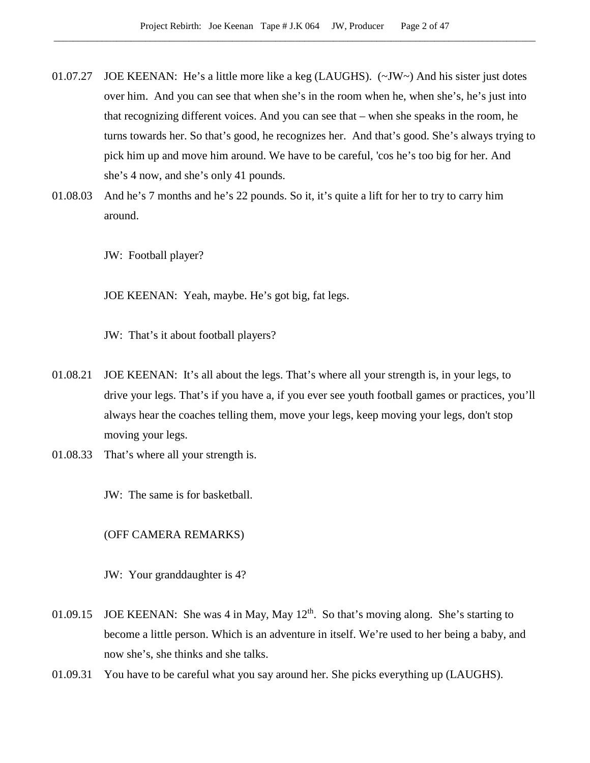- 01.07.27 JOE KEENAN: He's a little more like a keg (LAUGHS). (~JW~) And his sister just dotes over him. And you can see that when she's in the room when he, when she's, he's just into that recognizing different voices. And you can see that – when she speaks in the room, he turns towards her. So that's good, he recognizes her. And that's good. She's always trying to pick him up and move him around. We have to be careful, 'cos he's too big for her. And she's 4 now, and she's only 41 pounds.
- 01.08.03 And he's 7 months and he's 22 pounds. So it, it's quite a lift for her to try to carry him around.

JW: Football player?

JOE KEENAN: Yeah, maybe. He's got big, fat legs.

JW: That's it about football players?

- 01.08.21 JOE KEENAN: It's all about the legs. That's where all your strength is, in your legs, to drive your legs. That's if you have a, if you ever see youth football games or practices, you'll always hear the coaches telling them, move your legs, keep moving your legs, don't stop moving your legs.
- 01.08.33 That's where all your strength is.

JW: The same is for basketball.

(OFF CAMERA REMARKS)

JW: Your granddaughter is 4?

- 01.09.15 JOE KEENAN: She was 4 in May, May  $12<sup>th</sup>$ . So that's moving along. She's starting to become a little person. Which is an adventure in itself. We're used to her being a baby, and now she's, she thinks and she talks.
- 01.09.31 You have to be careful what you say around her. She picks everything up (LAUGHS).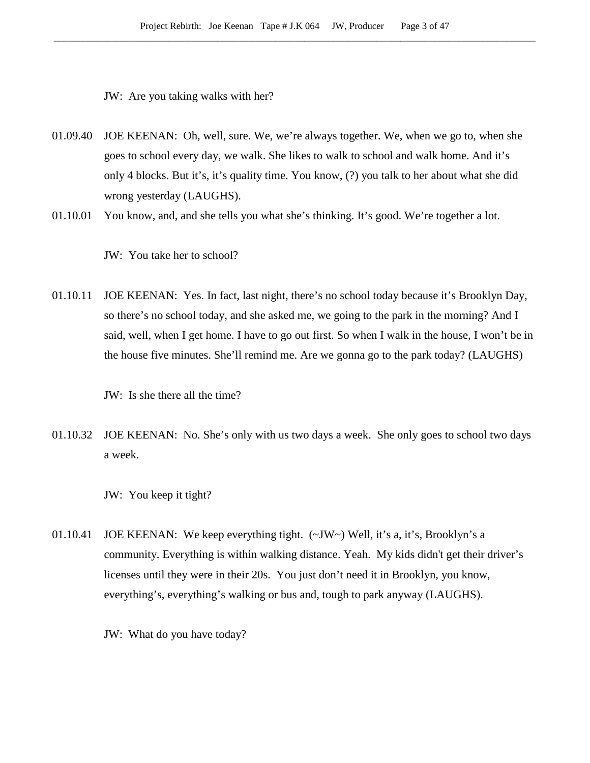JW: Are you taking walks with her?

- 01.09.40 JOE KEENAN: Oh, well, sure. We, we're always together. We, when we go to, when she goes to school every day, we walk. She likes to walk to school and walk home. And it's only 4 blocks. But it's, it's quality time. You know, (?) you talk to her about what she did wrong yesterday (LAUGHS).
- 01.10.01 You know, and, and she tells you what she's thinking. It's good. We're together a lot.

JW: You take her to school?

01.10.11 JOE KEENAN: Yes. In fact, last night, there's no school today because it's Brooklyn Day, so there's no school today, and she asked me, we going to the park in the morning? And I said, well, when I get home. I have to go out first. So when I walk in the house, I won't be in the house five minutes. She'll remind me. Are we gonna go to the park today? (LAUGHS)

JW: Is she there all the time?

- 01.10.32 JOE KEENAN: No. She's only with us two days a week. She only goes to school two days a week.
	- JW: You keep it tight?
- 01.10.41 JOE KEENAN: We keep everything tight. (~JW~) Well, it's a, it's, Brooklyn's a community. Everything is within walking distance. Yeah. My kids didn't get their driver's licenses until they were in their 20s. You just don't need it in Brooklyn, you know, everything's, everything's walking or bus and, tough to park anyway (LAUGHS).

JW: What do you have today?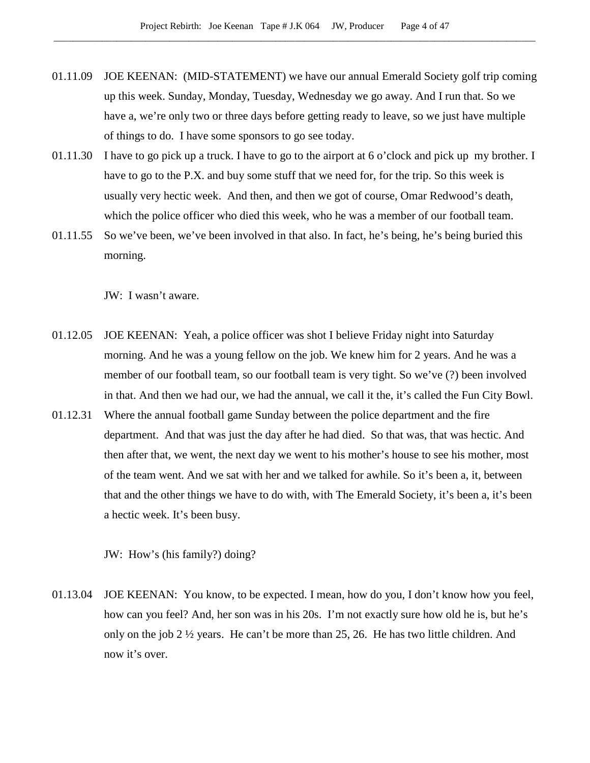- 01.11.09 JOE KEENAN: (MID-STATEMENT) we have our annual Emerald Society golf trip coming up this week. Sunday, Monday, Tuesday, Wednesday we go away. And I run that. So we have a, we're only two or three days before getting ready to leave, so we just have multiple of things to do. I have some sponsors to go see today.
- 01.11.30 I have to go pick up a truck. I have to go to the airport at 6 o'clock and pick up my brother. I have to go to the P.X. and buy some stuff that we need for, for the trip. So this week is usually very hectic week. And then, and then we got of course, Omar Redwood's death, which the police officer who died this week, who he was a member of our football team.
- 01.11.55 So we've been, we've been involved in that also. In fact, he's being, he's being buried this morning.

JW: I wasn't aware.

- 01.12.05 JOE KEENAN: Yeah, a police officer was shot I believe Friday night into Saturday morning. And he was a young fellow on the job. We knew him for 2 years. And he was a member of our football team, so our football team is very tight. So we've (?) been involved in that. And then we had our, we had the annual, we call it the, it's called the Fun City Bowl.
- 01.12.31 Where the annual football game Sunday between the police department and the fire department. And that was just the day after he had died. So that was, that was hectic. And then after that, we went, the next day we went to his mother's house to see his mother, most of the team went. And we sat with her and we talked for awhile. So it's been a, it, between that and the other things we have to do with, with The Emerald Society, it's been a, it's been a hectic week. It's been busy.

JW: How's (his family?) doing?

01.13.04 JOE KEENAN: You know, to be expected. I mean, how do you, I don't know how you feel, how can you feel? And, her son was in his 20s. I'm not exactly sure how old he is, but he's only on the job 2  $\frac{1}{2}$  years. He can't be more than 25, 26. He has two little children. And now it's over.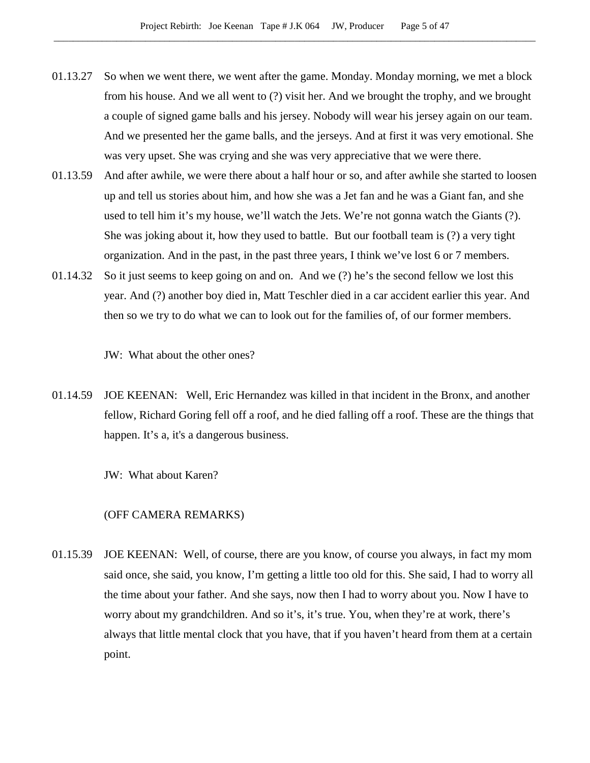- 01.13.27 So when we went there, we went after the game. Monday. Monday morning, we met a block from his house. And we all went to (?) visit her. And we brought the trophy, and we brought a couple of signed game balls and his jersey. Nobody will wear his jersey again on our team. And we presented her the game balls, and the jerseys. And at first it was very emotional. She was very upset. She was crying and she was very appreciative that we were there.
- 01.13.59 And after awhile, we were there about a half hour or so, and after awhile she started to loosen up and tell us stories about him, and how she was a Jet fan and he was a Giant fan, and she used to tell him it's my house, we'll watch the Jets. We're not gonna watch the Giants (?). She was joking about it, how they used to battle. But our football team is (?) a very tight organization. And in the past, in the past three years, I think we've lost 6 or 7 members.
- 01.14.32 So it just seems to keep going on and on. And we (?) he's the second fellow we lost this year. And (?) another boy died in, Matt Teschler died in a car accident earlier this year. And then so we try to do what we can to look out for the families of, of our former members.

JW: What about the other ones?

01.14.59 JOE KEENAN: Well, Eric Hernandez was killed in that incident in the Bronx, and another fellow, Richard Goring fell off a roof, and he died falling off a roof. These are the things that happen. It's a, it's a dangerous business.

JW: What about Karen?

# (OFF CAMERA REMARKS)

01.15.39 JOE KEENAN: Well, of course, there are you know, of course you always, in fact my mom said once, she said, you know, I'm getting a little too old for this. She said, I had to worry all the time about your father. And she says, now then I had to worry about you. Now I have to worry about my grandchildren. And so it's, it's true. You, when they're at work, there's always that little mental clock that you have, that if you haven't heard from them at a certain point.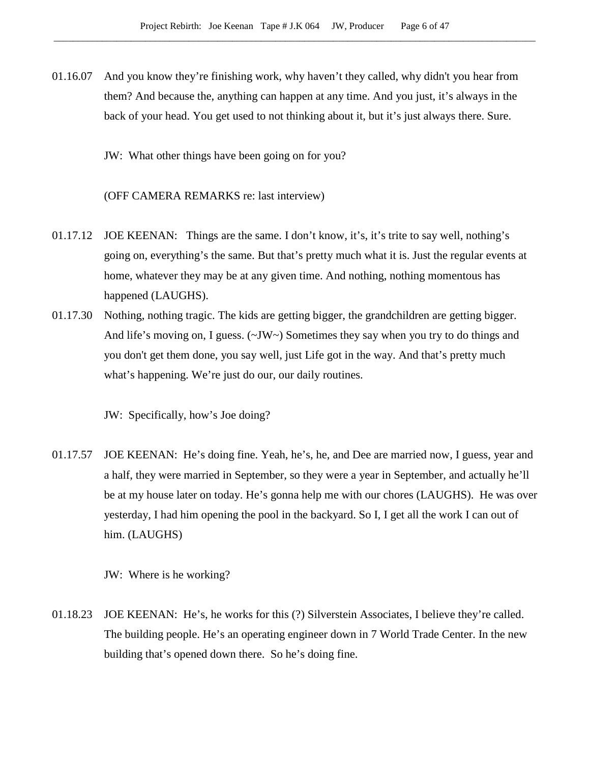- 01.16.07 And you know they're finishing work, why haven't they called, why didn't you hear from them? And because the, anything can happen at any time. And you just, it's always in the back of your head. You get used to not thinking about it, but it's just always there. Sure.
	- JW: What other things have been going on for you?

(OFF CAMERA REMARKS re: last interview)

- 01.17.12 JOE KEENAN: Things are the same. I don't know, it's, it's trite to say well, nothing's going on, everything's the same. But that's pretty much what it is. Just the regular events at home, whatever they may be at any given time. And nothing, nothing momentous has happened (LAUGHS).
- 01.17.30 Nothing, nothing tragic. The kids are getting bigger, the grandchildren are getting bigger. And life's moving on, I guess.  $(\sim JW)$  Sometimes they say when you try to do things and you don't get them done, you say well, just Life got in the way. And that's pretty much what's happening. We're just do our, our daily routines.

JW: Specifically, how's Joe doing?

01.17.57 JOE KEENAN: He's doing fine. Yeah, he's, he, and Dee are married now, I guess, year and a half, they were married in September, so they were a year in September, and actually he'll be at my house later on today. He's gonna help me with our chores (LAUGHS). He was over yesterday, I had him opening the pool in the backyard. So I, I get all the work I can out of him. (LAUGHS)

JW: Where is he working?

01.18.23 JOE KEENAN: He's, he works for this (?) Silverstein Associates, I believe they're called. The building people. He's an operating engineer down in 7 World Trade Center. In the new building that's opened down there. So he's doing fine.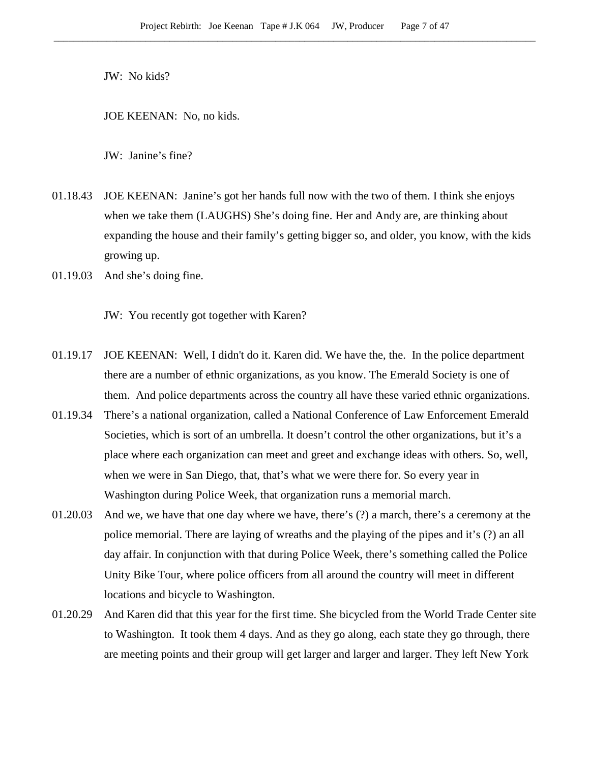JW: No kids?

JOE KEENAN: No, no kids.

JW: Janine's fine?

- 01.18.43 JOE KEENAN: Janine's got her hands full now with the two of them. I think she enjoys when we take them (LAUGHS) She's doing fine. Her and Andy are, are thinking about expanding the house and their family's getting bigger so, and older, you know, with the kids growing up.
- 01.19.03 And she's doing fine.

JW: You recently got together with Karen?

- 01.19.17 JOE KEENAN: Well, I didn't do it. Karen did. We have the, the. In the police department there are a number of ethnic organizations, as you know. The Emerald Society is one of them. And police departments across the country all have these varied ethnic organizations.
- 01.19.34 There's a national organization, called a National Conference of Law Enforcement Emerald Societies, which is sort of an umbrella. It doesn't control the other organizations, but it's a place where each organization can meet and greet and exchange ideas with others. So, well, when we were in San Diego, that, that's what we were there for. So every year in Washington during Police Week, that organization runs a memorial march.
- 01.20.03 And we, we have that one day where we have, there's (?) a march, there's a ceremony at the police memorial. There are laying of wreaths and the playing of the pipes and it's (?) an all day affair. In conjunction with that during Police Week, there's something called the Police Unity Bike Tour, where police officers from all around the country will meet in different locations and bicycle to Washington.
- 01.20.29 And Karen did that this year for the first time. She bicycled from the World Trade Center site to Washington. It took them 4 days. And as they go along, each state they go through, there are meeting points and their group will get larger and larger and larger. They left New York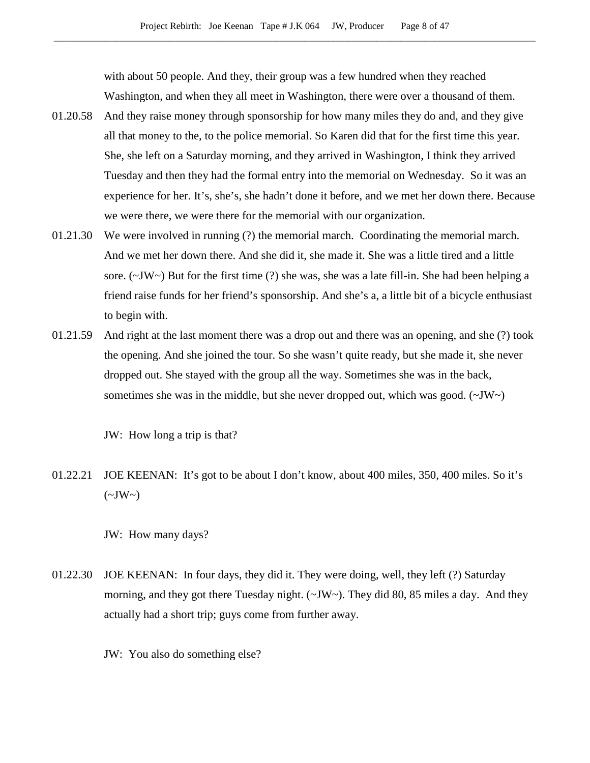with about 50 people. And they, their group was a few hundred when they reached Washington, and when they all meet in Washington, there were over a thousand of them.

- 01.20.58 And they raise money through sponsorship for how many miles they do and, and they give all that money to the, to the police memorial. So Karen did that for the first time this year. She, she left on a Saturday morning, and they arrived in Washington, I think they arrived Tuesday and then they had the formal entry into the memorial on Wednesday. So it was an experience for her. It's, she's, she hadn't done it before, and we met her down there. Because we were there, we were there for the memorial with our organization.
- 01.21.30 We were involved in running (?) the memorial march. Coordinating the memorial march. And we met her down there. And she did it, she made it. She was a little tired and a little sore. (~JW~) But for the first time (?) she was, she was a late fill-in. She had been helping a friend raise funds for her friend's sponsorship. And she's a, a little bit of a bicycle enthusiast to begin with.
- 01.21.59 And right at the last moment there was a drop out and there was an opening, and she (?) took the opening. And she joined the tour. So she wasn't quite ready, but she made it, she never dropped out. She stayed with the group all the way. Sometimes she was in the back, sometimes she was in the middle, but she never dropped out, which was good.  $(\sim JW)$

JW: How long a trip is that?

01.22.21 JOE KEENAN: It's got to be about I don't know, about 400 miles, 350, 400 miles. So it's  $(\sim JW \sim)$ 

JW: How many days?

- 01.22.30 JOE KEENAN: In four days, they did it. They were doing, well, they left (?) Saturday morning, and they got there Tuesday night. (~JW~). They did 80, 85 miles a day. And they actually had a short trip; guys come from further away.
	- JW: You also do something else?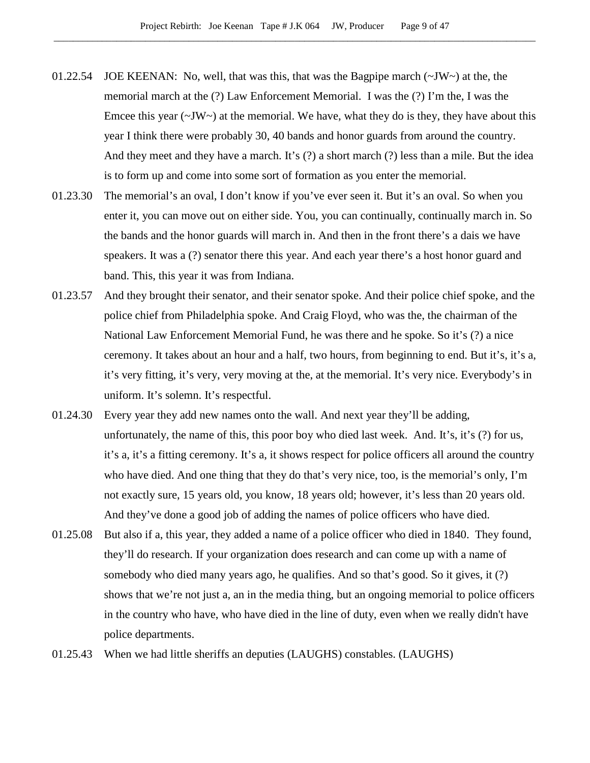- 01.22.54 JOE KEENAN: No, well, that was this, that was the Bagpipe march  $(\sim JW)$  at the, the memorial march at the (?) Law Enforcement Memorial. I was the (?) I'm the, I was the Emcee this year  $(\sim JW)$  at the memorial. We have, what they do is they, they have about this year I think there were probably 30, 40 bands and honor guards from around the country. And they meet and they have a march. It's (?) a short march (?) less than a mile. But the idea is to form up and come into some sort of formation as you enter the memorial.
- 01.23.30 The memorial's an oval, I don't know if you've ever seen it. But it's an oval. So when you enter it, you can move out on either side. You, you can continually, continually march in. So the bands and the honor guards will march in. And then in the front there's a dais we have speakers. It was a (?) senator there this year. And each year there's a host honor guard and band. This, this year it was from Indiana.
- 01.23.57 And they brought their senator, and their senator spoke. And their police chief spoke, and the police chief from Philadelphia spoke. And Craig Floyd, who was the, the chairman of the National Law Enforcement Memorial Fund, he was there and he spoke. So it's (?) a nice ceremony. It takes about an hour and a half, two hours, from beginning to end. But it's, it's a, it's very fitting, it's very, very moving at the, at the memorial. It's very nice. Everybody's in uniform. It's solemn. It's respectful.
- 01.24.30 Every year they add new names onto the wall. And next year they'll be adding, unfortunately, the name of this, this poor boy who died last week. And. It's, it's (?) for us, it's a, it's a fitting ceremony. It's a, it shows respect for police officers all around the country who have died. And one thing that they do that's very nice, too, is the memorial's only, I'm not exactly sure, 15 years old, you know, 18 years old; however, it's less than 20 years old. And they've done a good job of adding the names of police officers who have died.
- 01.25.08 But also if a, this year, they added a name of a police officer who died in 1840. They found, they'll do research. If your organization does research and can come up with a name of somebody who died many years ago, he qualifies. And so that's good. So it gives, it (?) shows that we're not just a, an in the media thing, but an ongoing memorial to police officers in the country who have, who have died in the line of duty, even when we really didn't have police departments.
- 01.25.43 When we had little sheriffs an deputies (LAUGHS) constables. (LAUGHS)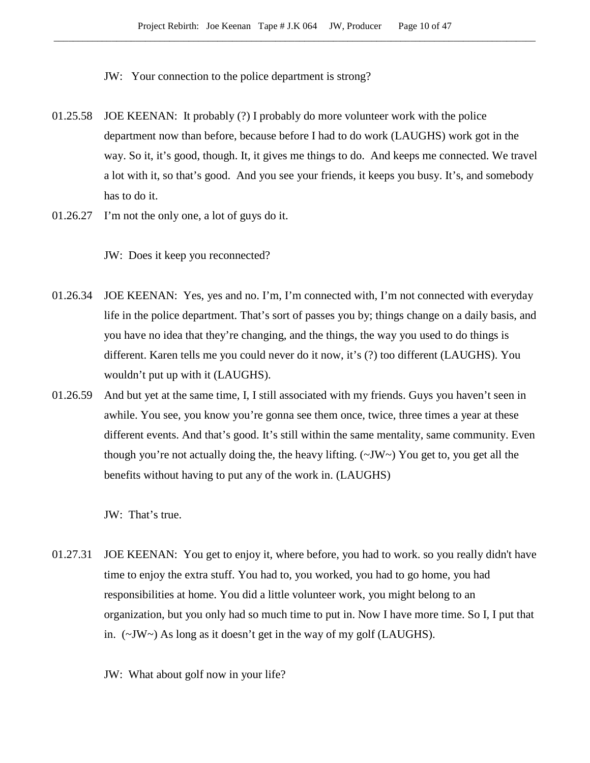- JW: Your connection to the police department is strong?
- 01.25.58 JOE KEENAN: It probably (?) I probably do more volunteer work with the police department now than before, because before I had to do work (LAUGHS) work got in the way. So it, it's good, though. It, it gives me things to do. And keeps me connected. We travel a lot with it, so that's good. And you see your friends, it keeps you busy. It's, and somebody has to do it.
- 01.26.27 I'm not the only one, a lot of guys do it.

JW: Does it keep you reconnected?

- 01.26.34 JOE KEENAN: Yes, yes and no. I'm, I'm connected with, I'm not connected with everyday life in the police department. That's sort of passes you by; things change on a daily basis, and you have no idea that they're changing, and the things, the way you used to do things is different. Karen tells me you could never do it now, it's (?) too different (LAUGHS). You wouldn't put up with it (LAUGHS).
- 01.26.59 And but yet at the same time, I, I still associated with my friends. Guys you haven't seen in awhile. You see, you know you're gonna see them once, twice, three times a year at these different events. And that's good. It's still within the same mentality, same community. Even though you're not actually doing the, the heavy lifting. (~JW~) You get to, you get all the benefits without having to put any of the work in. (LAUGHS)

JW: That's true.

01.27.31 JOE KEENAN: You get to enjoy it, where before, you had to work. so you really didn't have time to enjoy the extra stuff. You had to, you worked, you had to go home, you had responsibilities at home. You did a little volunteer work, you might belong to an organization, but you only had so much time to put in. Now I have more time. So I, I put that in. (~JW~) As long as it doesn't get in the way of my golf (LAUGHS).

JW: What about golf now in your life?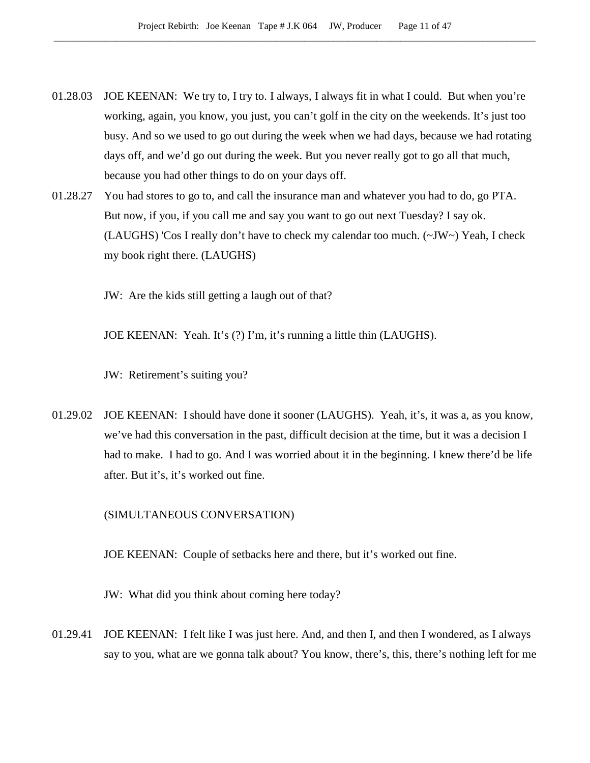- 01.28.03 JOE KEENAN: We try to, I try to. I always, I always fit in what I could. But when you're working, again, you know, you just, you can't golf in the city on the weekends. It's just too busy. And so we used to go out during the week when we had days, because we had rotating days off, and we'd go out during the week. But you never really got to go all that much, because you had other things to do on your days off.
- 01.28.27 You had stores to go to, and call the insurance man and whatever you had to do, go PTA. But now, if you, if you call me and say you want to go out next Tuesday? I say ok. (LAUGHS) 'Cos I really don't have to check my calendar too much.  $(\sim JW \sim)$  Yeah, I check my book right there. (LAUGHS)

JW: Are the kids still getting a laugh out of that?

JOE KEENAN: Yeah. It's (?) I'm, it's running a little thin (LAUGHS).

JW: Retirement's suiting you?

01.29.02 JOE KEENAN: I should have done it sooner (LAUGHS). Yeah, it's, it was a, as you know, we've had this conversation in the past, difficult decision at the time, but it was a decision I had to make. I had to go. And I was worried about it in the beginning. I knew there'd be life after. But it's, it's worked out fine.

# (SIMULTANEOUS CONVERSATION)

JOE KEENAN: Couple of setbacks here and there, but it's worked out fine.

JW: What did you think about coming here today?

01.29.41 JOE KEENAN: I felt like I was just here. And, and then I, and then I wondered, as I always say to you, what are we gonna talk about? You know, there's, this, there's nothing left for me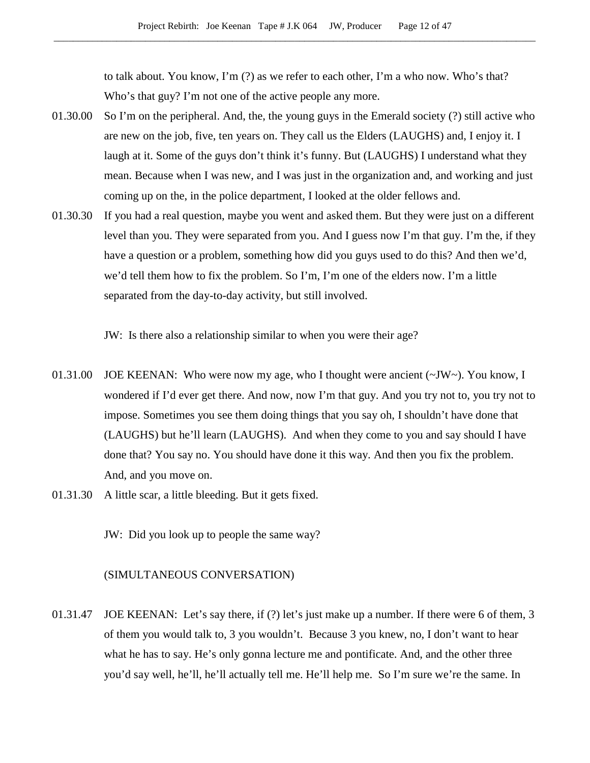to talk about. You know, I'm (?) as we refer to each other, I'm a who now. Who's that? Who's that guy? I'm not one of the active people any more.

- 01.30.00 So I'm on the peripheral. And, the, the young guys in the Emerald society (?) still active who are new on the job, five, ten years on. They call us the Elders (LAUGHS) and, I enjoy it. I laugh at it. Some of the guys don't think it's funny. But (LAUGHS) I understand what they mean. Because when I was new, and I was just in the organization and, and working and just coming up on the, in the police department, I looked at the older fellows and.
- 01.30.30 If you had a real question, maybe you went and asked them. But they were just on a different level than you. They were separated from you. And I guess now I'm that guy. I'm the, if they have a question or a problem, something how did you guys used to do this? And then we'd, we'd tell them how to fix the problem. So I'm, I'm one of the elders now. I'm a little separated from the day-to-day activity, but still involved.

JW: Is there also a relationship similar to when you were their age?

- 01.31.00 JOE KEENAN: Who were now my age, who I thought were ancient (~JW~). You know, I wondered if I'd ever get there. And now, now I'm that guy. And you try not to, you try not to impose. Sometimes you see them doing things that you say oh, I shouldn't have done that (LAUGHS) but he'll learn (LAUGHS). And when they come to you and say should I have done that? You say no. You should have done it this way. And then you fix the problem. And, and you move on.
- 01.31.30 A little scar, a little bleeding. But it gets fixed.

JW: Did you look up to people the same way?

# (SIMULTANEOUS CONVERSATION)

01.31.47 JOE KEENAN: Let's say there, if (?) let's just make up a number. If there were 6 of them, 3 of them you would talk to, 3 you wouldn't. Because 3 you knew, no, I don't want to hear what he has to say. He's only gonna lecture me and pontificate. And, and the other three you'd say well, he'll, he'll actually tell me. He'll help me. So I'm sure we're the same. In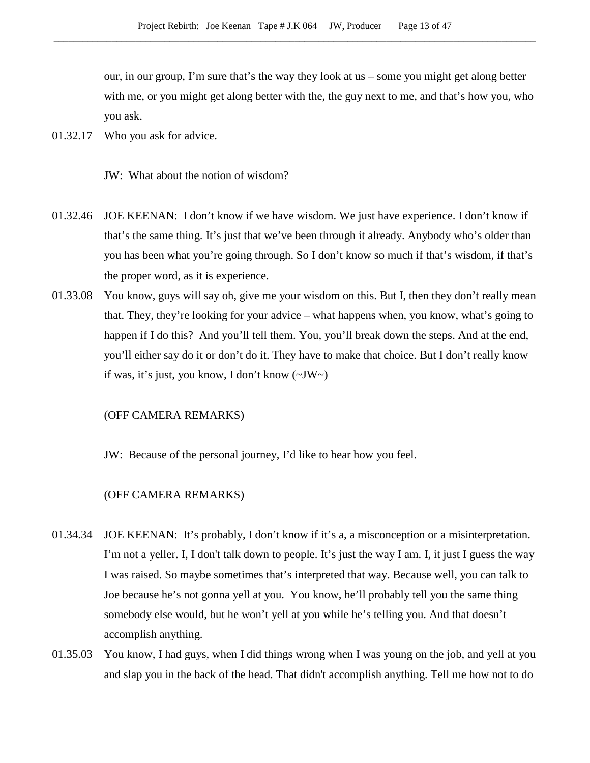our, in our group, I'm sure that's the way they look at us – some you might get along better with me, or you might get along better with the, the guy next to me, and that's how you, who you ask.

01.32.17 Who you ask for advice.

JW: What about the notion of wisdom?

- 01.32.46 JOE KEENAN: I don't know if we have wisdom. We just have experience. I don't know if that's the same thing. It's just that we've been through it already. Anybody who's older than you has been what you're going through. So I don't know so much if that's wisdom, if that's the proper word, as it is experience.
- 01.33.08 You know, guys will say oh, give me your wisdom on this. But I, then they don't really mean that. They, they're looking for your advice – what happens when, you know, what's going to happen if I do this? And you'll tell them. You, you'll break down the steps. And at the end, you'll either say do it or don't do it. They have to make that choice. But I don't really know if was, it's just, you know, I don't know (~JW~)

# (OFF CAMERA REMARKS)

JW: Because of the personal journey, I'd like to hear how you feel.

- 01.34.34 JOE KEENAN: It's probably, I don't know if it's a, a misconception or a misinterpretation. I'm not a yeller. I, I don't talk down to people. It's just the way I am. I, it just I guess the way I was raised. So maybe sometimes that's interpreted that way. Because well, you can talk to Joe because he's not gonna yell at you. You know, he'll probably tell you the same thing somebody else would, but he won't yell at you while he's telling you. And that doesn't accomplish anything.
- 01.35.03 You know, I had guys, when I did things wrong when I was young on the job, and yell at you and slap you in the back of the head. That didn't accomplish anything. Tell me how not to do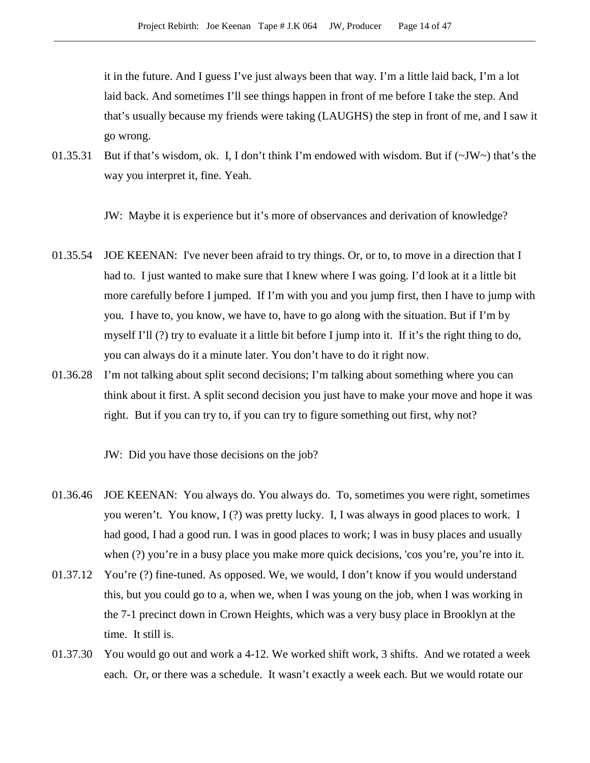it in the future. And I guess I've just always been that way. I'm a little laid back, I'm a lot laid back. And sometimes I'll see things happen in front of me before I take the step. And that's usually because my friends were taking (LAUGHS) the step in front of me, and I saw it go wrong.

01.35.31 But if that's wisdom, ok. I, I don't think I'm endowed with wisdom. But if (~JW~) that's the way you interpret it, fine. Yeah.

JW: Maybe it is experience but it's more of observances and derivation of knowledge?

- 01.35.54 JOE KEENAN: I've never been afraid to try things. Or, or to, to move in a direction that I had to. I just wanted to make sure that I knew where I was going. I'd look at it a little bit more carefully before I jumped. If I'm with you and you jump first, then I have to jump with you. I have to, you know, we have to, have to go along with the situation. But if I'm by myself I'll (?) try to evaluate it a little bit before I jump into it. If it's the right thing to do, you can always do it a minute later. You don't have to do it right now.
- 01.36.28 I'm not talking about split second decisions; I'm talking about something where you can think about it first. A split second decision you just have to make your move and hope it was right. But if you can try to, if you can try to figure something out first, why not?

JW: Did you have those decisions on the job?

- 01.36.46 JOE KEENAN: You always do. You always do. To, sometimes you were right, sometimes you weren't. You know, I (?) was pretty lucky. I, I was always in good places to work. I had good, I had a good run. I was in good places to work; I was in busy places and usually when (?) you're in a busy place you make more quick decisions, 'cos you're, you're into it.
- 01.37.12 You're (?) fine-tuned. As opposed. We, we would, I don't know if you would understand this, but you could go to a, when we, when I was young on the job, when I was working in the 7-1 precinct down in Crown Heights, which was a very busy place in Brooklyn at the time. It still is.
- 01.37.30 You would go out and work a 4-12. We worked shift work, 3 shifts. And we rotated a week each. Or, or there was a schedule. It wasn't exactly a week each. But we would rotate our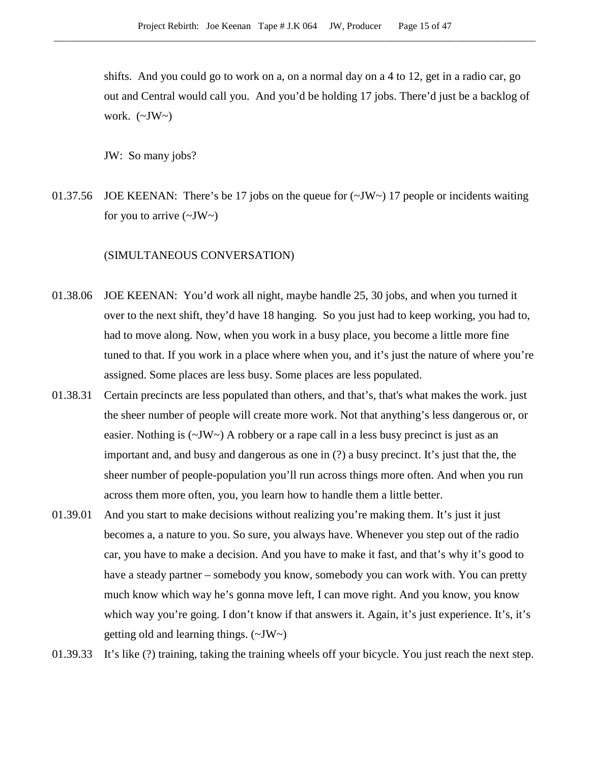shifts. And you could go to work on a, on a normal day on a 4 to 12, get in a radio car, go out and Central would call you. And you'd be holding 17 jobs. There'd just be a backlog of work.  $(\sim JW)$ 

JW: So many jobs?

01.37.56 JOE KEENAN: There's be 17 jobs on the queue for  $(\sim JW \sim)$  17 people or incidents waiting for you to arrive  $(\sim JW)$ 

# (SIMULTANEOUS CONVERSATION)

- 01.38.06 JOE KEENAN: You'd work all night, maybe handle 25, 30 jobs, and when you turned it over to the next shift, they'd have 18 hanging. So you just had to keep working, you had to, had to move along. Now, when you work in a busy place, you become a little more fine tuned to that. If you work in a place where when you, and it's just the nature of where you're assigned. Some places are less busy. Some places are less populated.
- 01.38.31 Certain precincts are less populated than others, and that's, that's what makes the work. just the sheer number of people will create more work. Not that anything's less dangerous or, or easier. Nothing is (~JW~) A robbery or a rape call in a less busy precinct is just as an important and, and busy and dangerous as one in (?) a busy precinct. It's just that the, the sheer number of people-population you'll run across things more often. And when you run across them more often, you, you learn how to handle them a little better.
- 01.39.01 And you start to make decisions without realizing you're making them. It's just it just becomes a, a nature to you. So sure, you always have. Whenever you step out of the radio car, you have to make a decision. And you have to make it fast, and that's why it's good to have a steady partner – somebody you know, somebody you can work with. You can pretty much know which way he's gonna move left, I can move right. And you know, you know which way you're going. I don't know if that answers it. Again, it's just experience. It's, it's getting old and learning things. (~JW~)

01.39.33 It's like (?) training, taking the training wheels off your bicycle. You just reach the next step.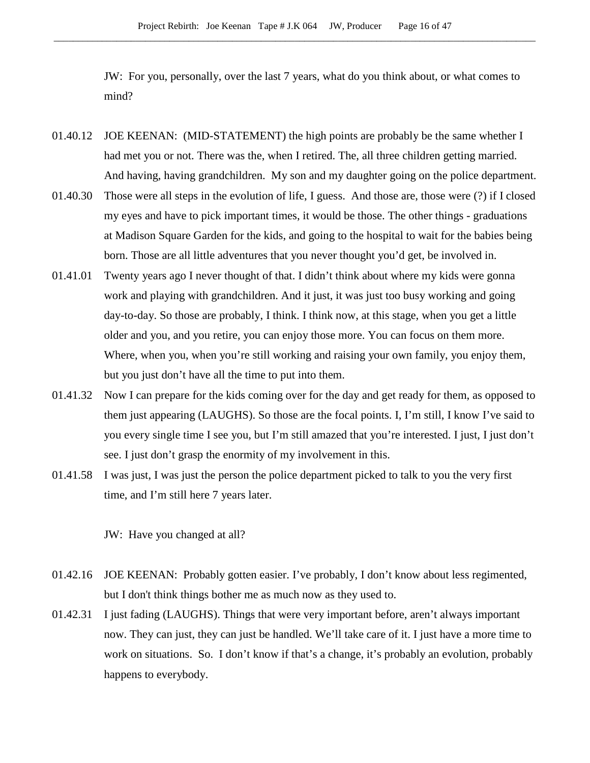JW: For you, personally, over the last 7 years, what do you think about, or what comes to mind?

- 01.40.12 JOE KEENAN: (MID-STATEMENT) the high points are probably be the same whether I had met you or not. There was the, when I retired. The, all three children getting married. And having, having grandchildren. My son and my daughter going on the police department.
- 01.40.30 Those were all steps in the evolution of life, I guess. And those are, those were (?) if I closed my eyes and have to pick important times, it would be those. The other things - graduations at Madison Square Garden for the kids, and going to the hospital to wait for the babies being born. Those are all little adventures that you never thought you'd get, be involved in.
- 01.41.01 Twenty years ago I never thought of that. I didn't think about where my kids were gonna work and playing with grandchildren. And it just, it was just too busy working and going day-to-day. So those are probably, I think. I think now, at this stage, when you get a little older and you, and you retire, you can enjoy those more. You can focus on them more. Where, when you, when you're still working and raising your own family, you enjoy them, but you just don't have all the time to put into them.
- 01.41.32 Now I can prepare for the kids coming over for the day and get ready for them, as opposed to them just appearing (LAUGHS). So those are the focal points. I, I'm still, I know I've said to you every single time I see you, but I'm still amazed that you're interested. I just, I just don't see. I just don't grasp the enormity of my involvement in this.
- 01.41.58 I was just, I was just the person the police department picked to talk to you the very first time, and I'm still here 7 years later.

JW: Have you changed at all?

- 01.42.16 JOE KEENAN: Probably gotten easier. I've probably, I don't know about less regimented, but I don't think things bother me as much now as they used to.
- 01.42.31 I just fading (LAUGHS). Things that were very important before, aren't always important now. They can just, they can just be handled. We'll take care of it. I just have a more time to work on situations. So. I don't know if that's a change, it's probably an evolution, probably happens to everybody.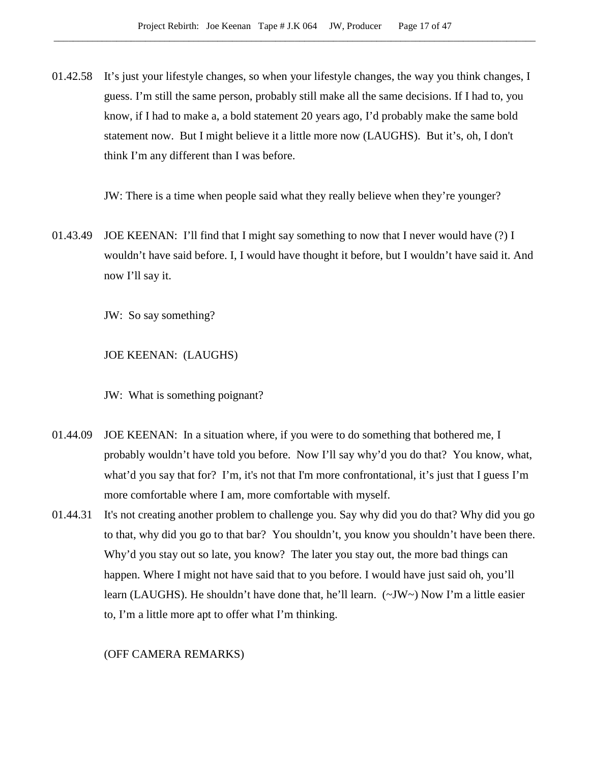01.42.58 It's just your lifestyle changes, so when your lifestyle changes, the way you think changes, I guess. I'm still the same person, probably still make all the same decisions. If I had to, you know, if I had to make a, a bold statement 20 years ago, I'd probably make the same bold statement now. But I might believe it a little more now (LAUGHS). But it's, oh, I don't think I'm any different than I was before.

JW: There is a time when people said what they really believe when they're younger?

01.43.49 JOE KEENAN: I'll find that I might say something to now that I never would have (?) I wouldn't have said before. I, I would have thought it before, but I wouldn't have said it. And now I'll say it.

JW: So say something?

JOE KEENAN: (LAUGHS)

JW: What is something poignant?

- 01.44.09 JOE KEENAN: In a situation where, if you were to do something that bothered me, I probably wouldn't have told you before. Now I'll say why'd you do that? You know, what, what'd you say that for? I'm, it's not that I'm more confrontational, it's just that I guess I'm more comfortable where I am, more comfortable with myself.
- 01.44.31 It's not creating another problem to challenge you. Say why did you do that? Why did you go to that, why did you go to that bar? You shouldn't, you know you shouldn't have been there. Why'd you stay out so late, you know? The later you stay out, the more bad things can happen. Where I might not have said that to you before. I would have just said oh, you'll learn (LAUGHS). He shouldn't have done that, he'll learn. (~JW~) Now I'm a little easier to, I'm a little more apt to offer what I'm thinking.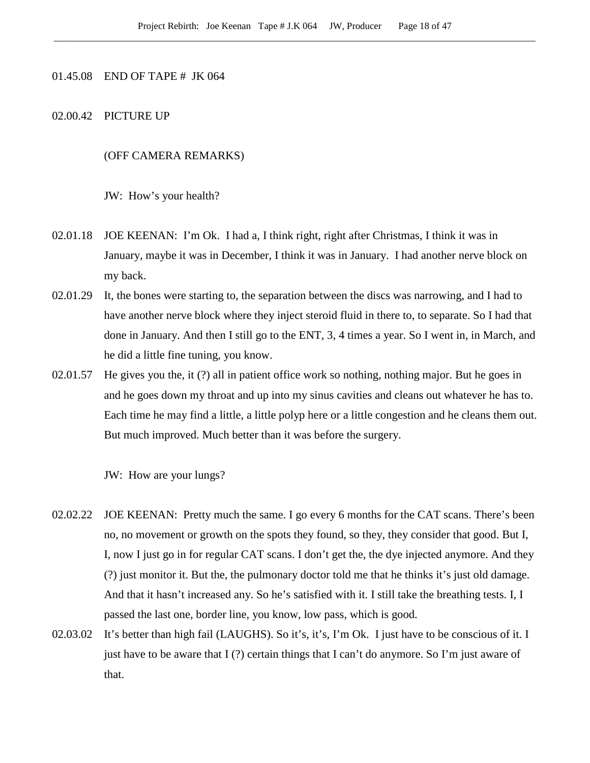# 01.45.08 END OF TAPE # JK 064

# 02.00.42 PICTURE UP

# (OFF CAMERA REMARKS)

JW: How's your health?

- 02.01.18 JOE KEENAN: I'm Ok. I had a, I think right, right after Christmas, I think it was in January, maybe it was in December, I think it was in January. I had another nerve block on my back.
- 02.01.29 It, the bones were starting to, the separation between the discs was narrowing, and I had to have another nerve block where they inject steroid fluid in there to, to separate. So I had that done in January. And then I still go to the ENT, 3, 4 times a year. So I went in, in March, and he did a little fine tuning, you know.
- 02.01.57 He gives you the, it (?) all in patient office work so nothing, nothing major. But he goes in and he goes down my throat and up into my sinus cavities and cleans out whatever he has to. Each time he may find a little, a little polyp here or a little congestion and he cleans them out. But much improved. Much better than it was before the surgery.

JW: How are your lungs?

- 02.02.22 JOE KEENAN: Pretty much the same. I go every 6 months for the CAT scans. There's been no, no movement or growth on the spots they found, so they, they consider that good. But I, I, now I just go in for regular CAT scans. I don't get the, the dye injected anymore. And they (?) just monitor it. But the, the pulmonary doctor told me that he thinks it's just old damage. And that it hasn't increased any. So he's satisfied with it. I still take the breathing tests. I, I passed the last one, border line, you know, low pass, which is good.
- 02.03.02 It's better than high fail (LAUGHS). So it's, it's, I'm Ok. I just have to be conscious of it. I just have to be aware that  $I(?)$  certain things that I can't do anymore. So I'm just aware of that.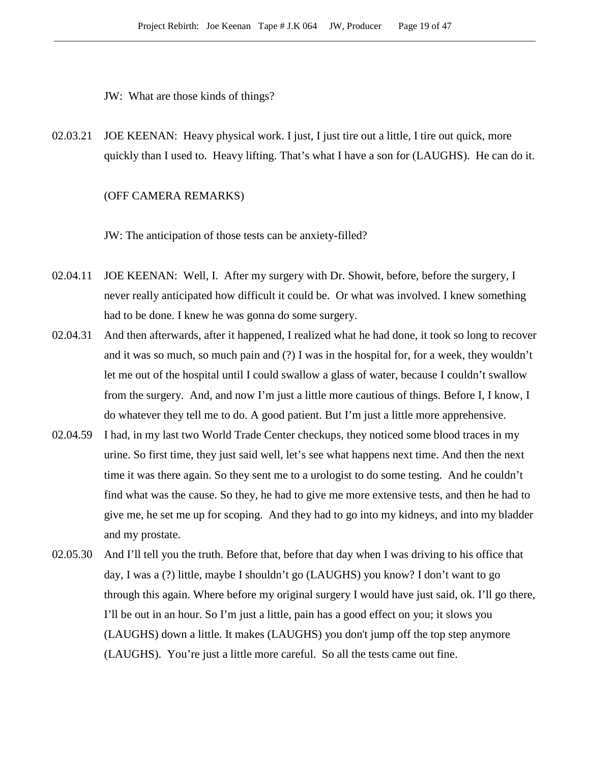JW: What are those kinds of things?

02.03.21 JOE KEENAN: Heavy physical work. I just, I just tire out a little, I tire out quick, more quickly than I used to. Heavy lifting. That's what I have a son for (LAUGHS). He can do it.

### (OFF CAMERA REMARKS)

JW: The anticipation of those tests can be anxiety-filled?

- 02.04.11 JOE KEENAN: Well, I. After my surgery with Dr. Showit, before, before the surgery, I never really anticipated how difficult it could be. Or what was involved. I knew something had to be done. I knew he was gonna do some surgery.
- 02.04.31 And then afterwards, after it happened, I realized what he had done, it took so long to recover and it was so much, so much pain and (?) I was in the hospital for, for a week, they wouldn't let me out of the hospital until I could swallow a glass of water, because I couldn't swallow from the surgery. And, and now I'm just a little more cautious of things. Before I, I know, I do whatever they tell me to do. A good patient. But I'm just a little more apprehensive.
- 02.04.59 I had, in my last two World Trade Center checkups, they noticed some blood traces in my urine. So first time, they just said well, let's see what happens next time. And then the next time it was there again. So they sent me to a urologist to do some testing. And he couldn't find what was the cause. So they, he had to give me more extensive tests, and then he had to give me, he set me up for scoping. And they had to go into my kidneys, and into my bladder and my prostate.
- 02.05.30 And I'll tell you the truth. Before that, before that day when I was driving to his office that day, I was a (?) little, maybe I shouldn't go (LAUGHS) you know? I don't want to go through this again. Where before my original surgery I would have just said, ok. I'll go there, I'll be out in an hour. So I'm just a little, pain has a good effect on you; it slows you (LAUGHS) down a little. It makes (LAUGHS) you don't jump off the top step anymore (LAUGHS). You're just a little more careful. So all the tests came out fine.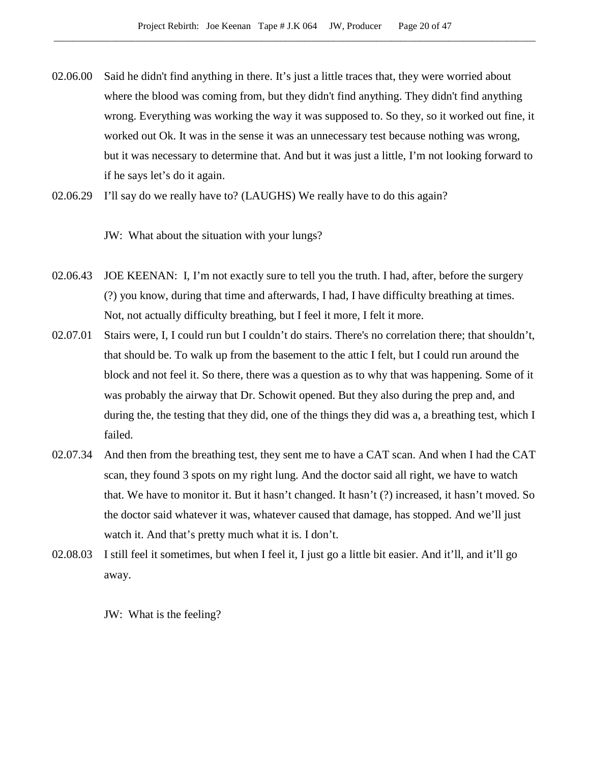- 02.06.00 Said he didn't find anything in there. It's just a little traces that, they were worried about where the blood was coming from, but they didn't find anything. They didn't find anything wrong. Everything was working the way it was supposed to. So they, so it worked out fine, it worked out Ok. It was in the sense it was an unnecessary test because nothing was wrong, but it was necessary to determine that. And but it was just a little, I'm not looking forward to if he says let's do it again.
- 02.06.29 I'll say do we really have to? (LAUGHS) We really have to do this again?

JW: What about the situation with your lungs?

- 02.06.43 JOE KEENAN: I, I'm not exactly sure to tell you the truth. I had, after, before the surgery (?) you know, during that time and afterwards, I had, I have difficulty breathing at times. Not, not actually difficulty breathing, but I feel it more, I felt it more.
- 02.07.01 Stairs were, I, I could run but I couldn't do stairs. There's no correlation there; that shouldn't, that should be. To walk up from the basement to the attic I felt, but I could run around the block and not feel it. So there, there was a question as to why that was happening. Some of it was probably the airway that Dr. Schowit opened. But they also during the prep and, and during the, the testing that they did, one of the things they did was a, a breathing test, which I failed.
- 02.07.34 And then from the breathing test, they sent me to have a CAT scan. And when I had the CAT scan, they found 3 spots on my right lung. And the doctor said all right, we have to watch that. We have to monitor it. But it hasn't changed. It hasn't (?) increased, it hasn't moved. So the doctor said whatever it was, whatever caused that damage, has stopped. And we'll just watch it. And that's pretty much what it is. I don't.
- 02.08.03 I still feel it sometimes, but when I feel it, I just go a little bit easier. And it'll, and it'll go away.

JW: What is the feeling?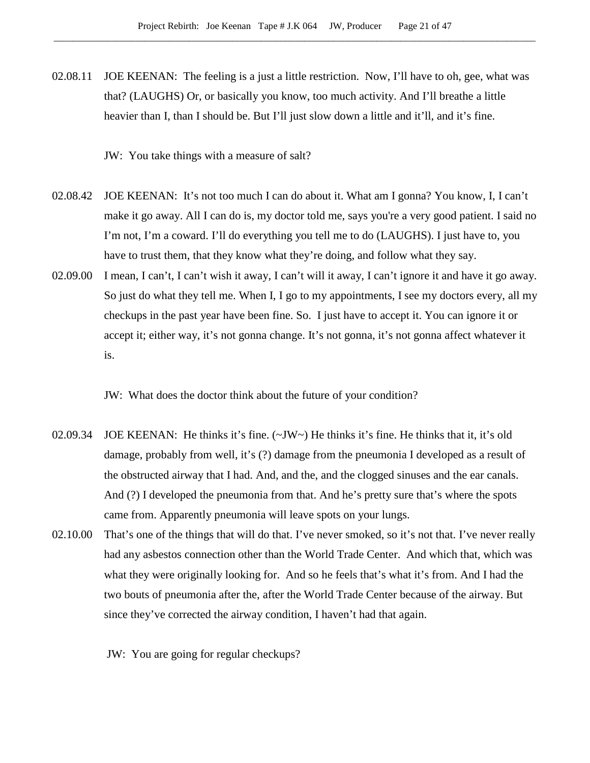02.08.11 JOE KEENAN: The feeling is a just a little restriction. Now, I'll have to oh, gee, what was that? (LAUGHS) Or, or basically you know, too much activity. And I'll breathe a little heavier than I, than I should be. But I'll just slow down a little and it'll, and it's fine.

JW: You take things with a measure of salt?

- 02.08.42 JOE KEENAN: It's not too much I can do about it. What am I gonna? You know, I, I can't make it go away. All I can do is, my doctor told me, says you're a very good patient. I said no I'm not, I'm a coward. I'll do everything you tell me to do (LAUGHS). I just have to, you have to trust them, that they know what they're doing, and follow what they say.
- 02.09.00 I mean, I can't, I can't wish it away, I can't will it away, I can't ignore it and have it go away. So just do what they tell me. When I, I go to my appointments, I see my doctors every, all my checkups in the past year have been fine. So. I just have to accept it. You can ignore it or accept it; either way, it's not gonna change. It's not gonna, it's not gonna affect whatever it is.

JW: What does the doctor think about the future of your condition?

- 02.09.34 JOE KEENAN: He thinks it's fine. (~JW~) He thinks it's fine. He thinks that it, it's old damage, probably from well, it's (?) damage from the pneumonia I developed as a result of the obstructed airway that I had. And, and the, and the clogged sinuses and the ear canals. And (?) I developed the pneumonia from that. And he's pretty sure that's where the spots came from. Apparently pneumonia will leave spots on your lungs.
- 02.10.00 That's one of the things that will do that. I've never smoked, so it's not that. I've never really had any asbestos connection other than the World Trade Center. And which that, which was what they were originally looking for. And so he feels that's what it's from. And I had the two bouts of pneumonia after the, after the World Trade Center because of the airway. But since they've corrected the airway condition, I haven't had that again.

JW: You are going for regular checkups?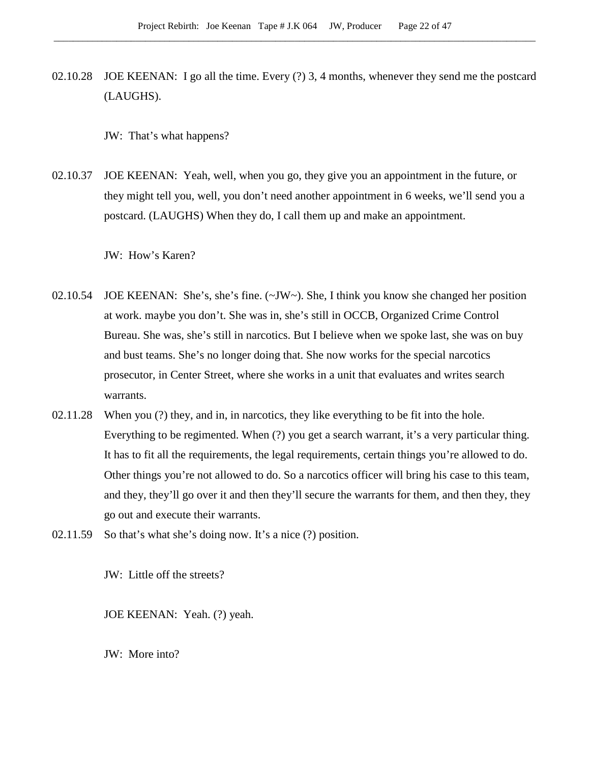02.10.28 JOE KEENAN: I go all the time. Every (?) 3, 4 months, whenever they send me the postcard (LAUGHS).

JW: That's what happens?

02.10.37 JOE KEENAN: Yeah, well, when you go, they give you an appointment in the future, or they might tell you, well, you don't need another appointment in 6 weeks, we'll send you a postcard. (LAUGHS) When they do, I call them up and make an appointment.

JW: How's Karen?

- 02.10.54 JOE KEENAN: She's, she's fine.  $(\sim JW)$ . She, I think you know she changed her position at work. maybe you don't. She was in, she's still in OCCB, Organized Crime Control Bureau. She was, she's still in narcotics. But I believe when we spoke last, she was on buy and bust teams. She's no longer doing that. She now works for the special narcotics prosecutor, in Center Street, where she works in a unit that evaluates and writes search warrants.
- 02.11.28 When you (?) they, and in, in narcotics, they like everything to be fit into the hole. Everything to be regimented. When (?) you get a search warrant, it's a very particular thing. It has to fit all the requirements, the legal requirements, certain things you're allowed to do. Other things you're not allowed to do. So a narcotics officer will bring his case to this team, and they, they'll go over it and then they'll secure the warrants for them, and then they, they go out and execute their warrants.
- 02.11.59 So that's what she's doing now. It's a nice (?) position.

JW: Little off the streets?

JOE KEENAN: Yeah. (?) yeah.

JW: More into?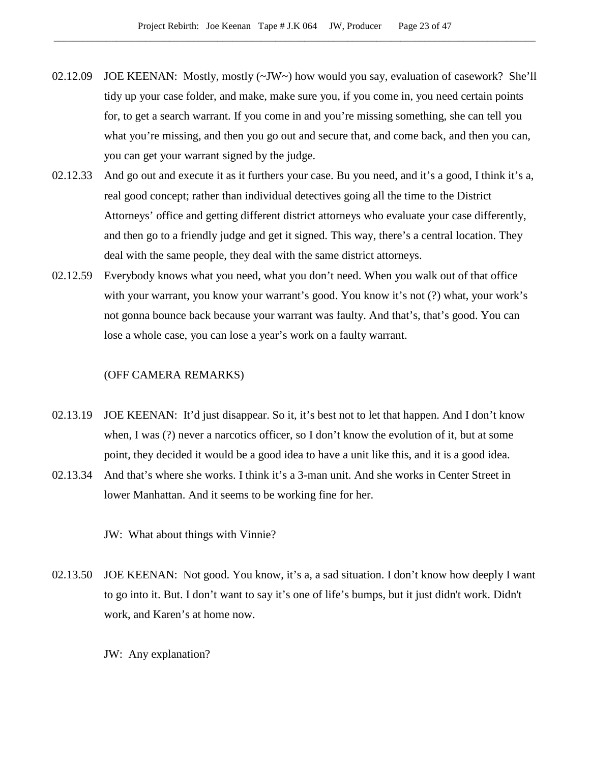- 02.12.09 JOE KEENAN: Mostly, mostly (~JW~) how would you say, evaluation of casework? She'll tidy up your case folder, and make, make sure you, if you come in, you need certain points for, to get a search warrant. If you come in and you're missing something, she can tell you what you're missing, and then you go out and secure that, and come back, and then you can, you can get your warrant signed by the judge.
- 02.12.33 And go out and execute it as it furthers your case. Bu you need, and it's a good, I think it's a, real good concept; rather than individual detectives going all the time to the District Attorneys' office and getting different district attorneys who evaluate your case differently, and then go to a friendly judge and get it signed. This way, there's a central location. They deal with the same people, they deal with the same district attorneys.
- 02.12.59 Everybody knows what you need, what you don't need. When you walk out of that office with your warrant, you know your warrant's good. You know it's not (?) what, your work's not gonna bounce back because your warrant was faulty. And that's, that's good. You can lose a whole case, you can lose a year's work on a faulty warrant.

#### (OFF CAMERA REMARKS)

- 02.13.19 JOE KEENAN: It'd just disappear. So it, it's best not to let that happen. And I don't know when, I was (?) never a narcotics officer, so I don't know the evolution of it, but at some point, they decided it would be a good idea to have a unit like this, and it is a good idea.
- 02.13.34 And that's where she works. I think it's a 3-man unit. And she works in Center Street in lower Manhattan. And it seems to be working fine for her.

JW: What about things with Vinnie?

- 02.13.50 JOE KEENAN: Not good. You know, it's a, a sad situation. I don't know how deeply I want to go into it. But. I don't want to say it's one of life's bumps, but it just didn't work. Didn't work, and Karen's at home now.
	- JW: Any explanation?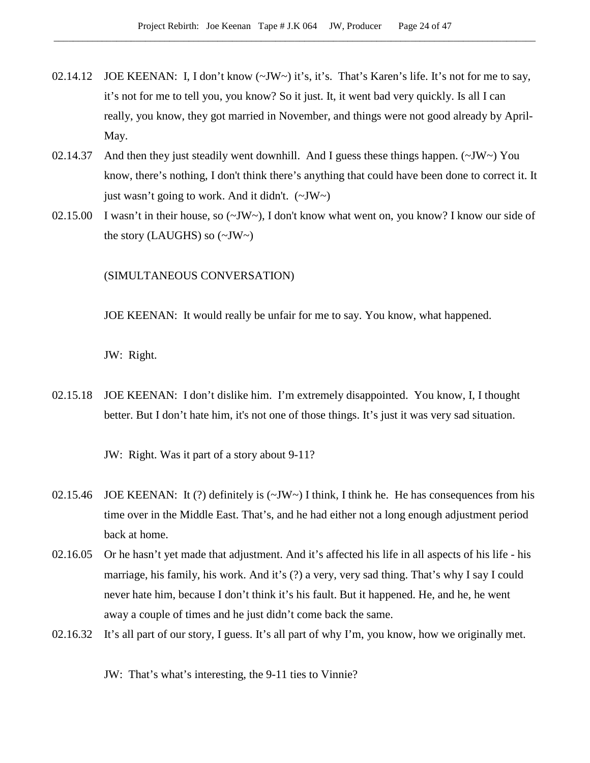- 02.14.12 JOE KEENAN: I, I don't know  $(\sim JW \sim)$  it's, it's. That's Karen's life. It's not for me to say, it's not for me to tell you, you know? So it just. It, it went bad very quickly. Is all I can really, you know, they got married in November, and things were not good already by April-May.
- 02.14.37 And then they just steadily went downhill. And I guess these things happen. (~JW~) You know, there's nothing, I don't think there's anything that could have been done to correct it. It just wasn't going to work. And it didn't.  $(\sim JW)$
- 02.15.00 I wasn't in their house, so (~JW~), I don't know what went on, you know? I know our side of the story (LAUGHS) so  $(\sim$ JW $\sim$ )

(SIMULTANEOUS CONVERSATION)

JOE KEENAN: It would really be unfair for me to say. You know, what happened.

JW: Right.

02.15.18 JOE KEENAN: I don't dislike him. I'm extremely disappointed. You know, I, I thought better. But I don't hate him, it's not one of those things. It's just it was very sad situation.

JW: Right. Was it part of a story about 9-11?

- 02.15.46 JOE KEENAN: It (?) definitely is  $(\sim JW \sim)$  I think, I think he. He has consequences from his time over in the Middle East. That's, and he had either not a long enough adjustment period back at home.
- 02.16.05 Or he hasn't yet made that adjustment. And it's affected his life in all aspects of his life his marriage, his family, his work. And it's (?) a very, very sad thing. That's why I say I could never hate him, because I don't think it's his fault. But it happened. He, and he, he went away a couple of times and he just didn't come back the same.
- 02.16.32 It's all part of our story, I guess. It's all part of why I'm, you know, how we originally met.

JW: That's what's interesting, the 9-11 ties to Vinnie?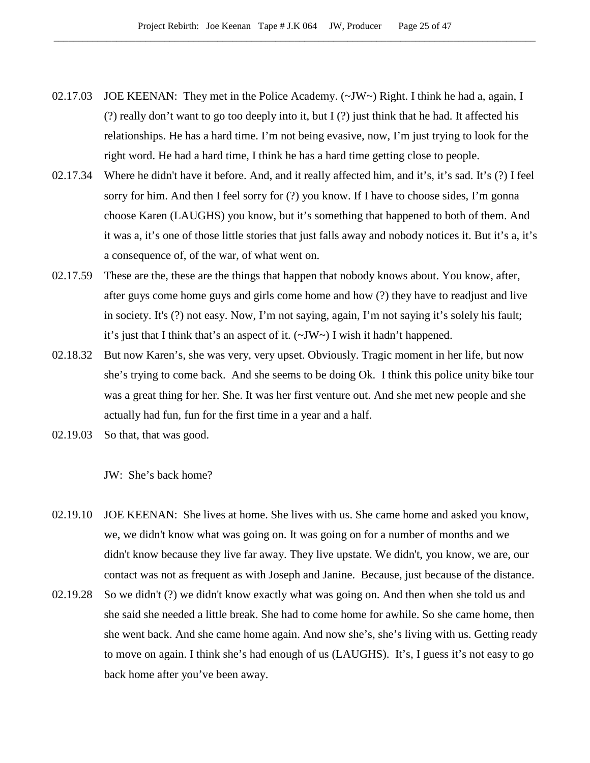- 02.17.03 JOE KEENAN: They met in the Police Academy.  $(\sim JW \sim)$  Right. I think he had a, again, I (?) really don't want to go too deeply into it, but I (?) just think that he had. It affected his relationships. He has a hard time. I'm not being evasive, now, I'm just trying to look for the right word. He had a hard time, I think he has a hard time getting close to people.
- 02.17.34 Where he didn't have it before. And, and it really affected him, and it's, it's sad. It's (?) I feel sorry for him. And then I feel sorry for (?) you know. If I have to choose sides, I'm gonna choose Karen (LAUGHS) you know, but it's something that happened to both of them. And it was a, it's one of those little stories that just falls away and nobody notices it. But it's a, it's a consequence of, of the war, of what went on.
- 02.17.59 These are the, these are the things that happen that nobody knows about. You know, after, after guys come home guys and girls come home and how (?) they have to readjust and live in society. It's (?) not easy. Now, I'm not saying, again, I'm not saying it's solely his fault; it's just that I think that's an aspect of it. (~JW~) I wish it hadn't happened.
- 02.18.32 But now Karen's, she was very, very upset. Obviously. Tragic moment in her life, but now she's trying to come back. And she seems to be doing Ok. I think this police unity bike tour was a great thing for her. She. It was her first venture out. And she met new people and she actually had fun, fun for the first time in a year and a half.
- 02.19.03 So that, that was good.

JW: She's back home?

- 02.19.10 JOE KEENAN: She lives at home. She lives with us. She came home and asked you know, we, we didn't know what was going on. It was going on for a number of months and we didn't know because they live far away. They live upstate. We didn't, you know, we are, our contact was not as frequent as with Joseph and Janine. Because, just because of the distance.
- 02.19.28 So we didn't (?) we didn't know exactly what was going on. And then when she told us and she said she needed a little break. She had to come home for awhile. So she came home, then she went back. And she came home again. And now she's, she's living with us. Getting ready to move on again. I think she's had enough of us (LAUGHS). It's, I guess it's not easy to go back home after you've been away.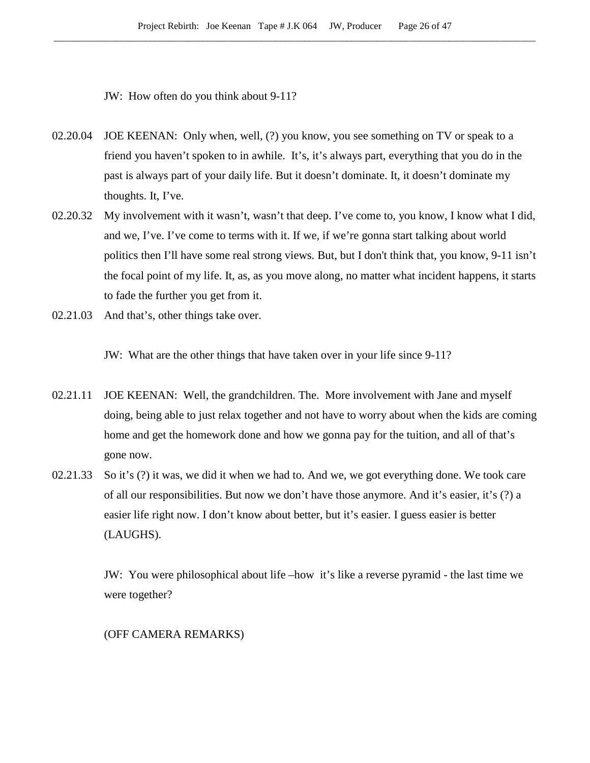JW: How often do you think about 9-11?

- 02.20.04 JOE KEENAN: Only when, well, (?) you know, you see something on TV or speak to a friend you haven't spoken to in awhile. It's, it's always part, everything that you do in the past is always part of your daily life. But it doesn't dominate. It, it doesn't dominate my thoughts. It, I've.
- 02.20.32 My involvement with it wasn't, wasn't that deep. I've come to, you know, I know what I did, and we, I've. I've come to terms with it. If we, if we're gonna start talking about world politics then I'll have some real strong views. But, but I don't think that, you know, 9-11 isn't the focal point of my life. It, as, as you move along, no matter what incident happens, it starts to fade the further you get from it.
- 02.21.03 And that's, other things take over.

JW: What are the other things that have taken over in your life since 9-11?

- 02.21.11 JOE KEENAN: Well, the grandchildren. The. More involvement with Jane and myself doing, being able to just relax together and not have to worry about when the kids are coming home and get the homework done and how we gonna pay for the tuition, and all of that's gone now.
- 02.21.33 So it's (?) it was, we did it when we had to. And we, we got everything done. We took care of all our responsibilities. But now we don't have those anymore. And it's easier, it's (?) a easier life right now. I don't know about better, but it's easier. I guess easier is better (LAUGHS).

JW: You were philosophical about life –how it's like a reverse pyramid - the last time we were together?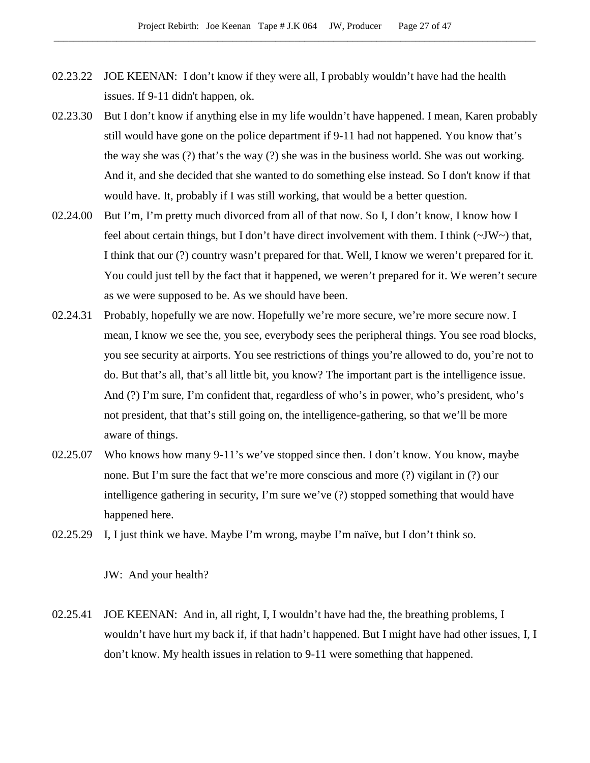- 02.23.22 JOE KEENAN: I don't know if they were all, I probably wouldn't have had the health issues. If 9-11 didn't happen, ok.
- 02.23.30 But I don't know if anything else in my life wouldn't have happened. I mean, Karen probably still would have gone on the police department if 9-11 had not happened. You know that's the way she was (?) that's the way (?) she was in the business world. She was out working. And it, and she decided that she wanted to do something else instead. So I don't know if that would have. It, probably if I was still working, that would be a better question.
- 02.24.00 But I'm, I'm pretty much divorced from all of that now. So I, I don't know, I know how I feel about certain things, but I don't have direct involvement with them. I think (~JW~) that, I think that our (?) country wasn't prepared for that. Well, I know we weren't prepared for it. You could just tell by the fact that it happened, we weren't prepared for it. We weren't secure as we were supposed to be. As we should have been.
- 02.24.31 Probably, hopefully we are now. Hopefully we're more secure, we're more secure now. I mean, I know we see the, you see, everybody sees the peripheral things. You see road blocks, you see security at airports. You see restrictions of things you're allowed to do, you're not to do. But that's all, that's all little bit, you know? The important part is the intelligence issue. And (?) I'm sure, I'm confident that, regardless of who's in power, who's president, who's not president, that that's still going on, the intelligence-gathering, so that we'll be more aware of things.
- 02.25.07 Who knows how many 9-11's we've stopped since then. I don't know. You know, maybe none. But I'm sure the fact that we're more conscious and more (?) vigilant in (?) our intelligence gathering in security, I'm sure we've (?) stopped something that would have happened here.
- 02.25.29 I, I just think we have. Maybe I'm wrong, maybe I'm naïve, but I don't think so.

JW: And your health?

02.25.41 JOE KEENAN: And in, all right, I, I wouldn't have had the, the breathing problems, I wouldn't have hurt my back if, if that hadn't happened. But I might have had other issues, I, I don't know. My health issues in relation to 9-11 were something that happened.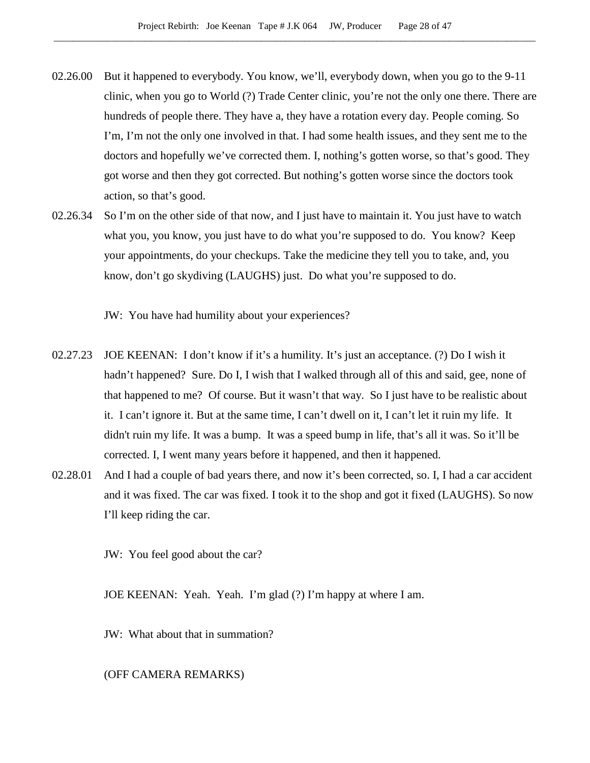- 02.26.00 But it happened to everybody. You know, we'll, everybody down, when you go to the 9-11 clinic, when you go to World (?) Trade Center clinic, you're not the only one there. There are hundreds of people there. They have a, they have a rotation every day. People coming. So I'm, I'm not the only one involved in that. I had some health issues, and they sent me to the doctors and hopefully we've corrected them. I, nothing's gotten worse, so that's good. They got worse and then they got corrected. But nothing's gotten worse since the doctors took action, so that's good.
- 02.26.34 So I'm on the other side of that now, and I just have to maintain it. You just have to watch what you, you know, you just have to do what you're supposed to do. You know? Keep your appointments, do your checkups. Take the medicine they tell you to take, and, you know, don't go skydiving (LAUGHS) just. Do what you're supposed to do.

JW: You have had humility about your experiences?

- 02.27.23 JOE KEENAN: I don't know if it's a humility. It's just an acceptance. (?) Do I wish it hadn't happened? Sure. Do I, I wish that I walked through all of this and said, gee, none of that happened to me? Of course. But it wasn't that way. So I just have to be realistic about it. I can't ignore it. But at the same time, I can't dwell on it, I can't let it ruin my life. It didn't ruin my life. It was a bump. It was a speed bump in life, that's all it was. So it'll be corrected. I, I went many years before it happened, and then it happened.
- 02.28.01 And I had a couple of bad years there, and now it's been corrected, so. I, I had a car accident and it was fixed. The car was fixed. I took it to the shop and got it fixed (LAUGHS). So now I'll keep riding the car.

JW: You feel good about the car?

JOE KEENAN: Yeah. Yeah. I'm glad (?) I'm happy at where I am.

JW: What about that in summation?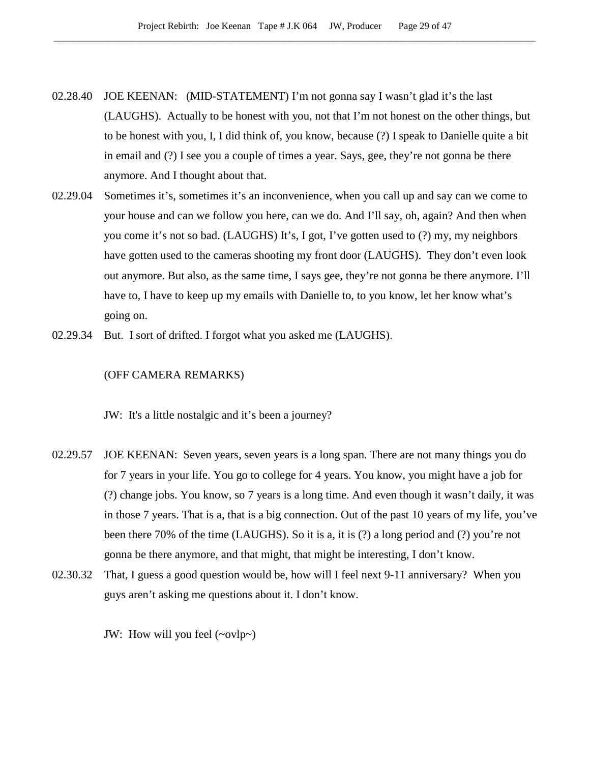- 02.28.40 JOE KEENAN: (MID-STATEMENT) I'm not gonna say I wasn't glad it's the last (LAUGHS). Actually to be honest with you, not that I'm not honest on the other things, but to be honest with you, I, I did think of, you know, because (?) I speak to Danielle quite a bit in email and (?) I see you a couple of times a year. Says, gee, they're not gonna be there anymore. And I thought about that.
- 02.29.04 Sometimes it's, sometimes it's an inconvenience, when you call up and say can we come to your house and can we follow you here, can we do. And I'll say, oh, again? And then when you come it's not so bad. (LAUGHS) It's, I got, I've gotten used to (?) my, my neighbors have gotten used to the cameras shooting my front door (LAUGHS). They don't even look out anymore. But also, as the same time, I says gee, they're not gonna be there anymore. I'll have to, I have to keep up my emails with Danielle to, to you know, let her know what's going on.
- 02.29.34 But. I sort of drifted. I forgot what you asked me (LAUGHS).

#### (OFF CAMERA REMARKS)

JW: It's a little nostalgic and it's been a journey?

- 02.29.57 JOE KEENAN: Seven years, seven years is a long span. There are not many things you do for 7 years in your life. You go to college for 4 years. You know, you might have a job for (?) change jobs. You know, so 7 years is a long time. And even though it wasn't daily, it was in those 7 years. That is a, that is a big connection. Out of the past 10 years of my life, you've been there 70% of the time (LAUGHS). So it is a, it is (?) a long period and (?) you're not gonna be there anymore, and that might, that might be interesting, I don't know.
- 02.30.32 That, I guess a good question would be, how will I feel next 9-11 anniversary? When you guys aren't asking me questions about it. I don't know.

JW: How will you feel  $(\sim ovlp\sim)$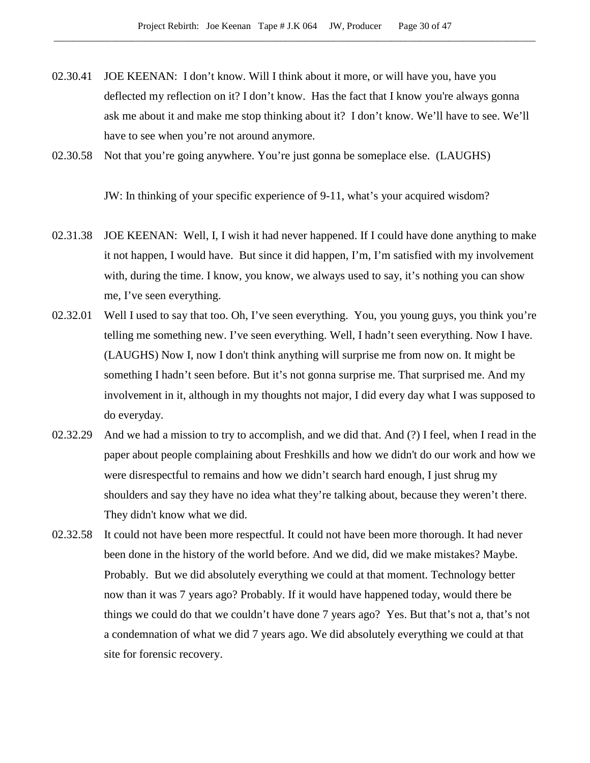- 02.30.41 JOE KEENAN: I don't know. Will I think about it more, or will have you, have you deflected my reflection on it? I don't know. Has the fact that I know you're always gonna ask me about it and make me stop thinking about it? I don't know. We'll have to see. We'll have to see when you're not around anymore.
- 02.30.58 Not that you're going anywhere. You're just gonna be someplace else. (LAUGHS)

JW: In thinking of your specific experience of 9-11, what's your acquired wisdom?

- 02.31.38 JOE KEENAN: Well, I, I wish it had never happened. If I could have done anything to make it not happen, I would have. But since it did happen, I'm, I'm satisfied with my involvement with, during the time. I know, you know, we always used to say, it's nothing you can show me, I've seen everything.
- 02.32.01 Well I used to say that too. Oh, I've seen everything. You, you young guys, you think you're telling me something new. I've seen everything. Well, I hadn't seen everything. Now I have. (LAUGHS) Now I, now I don't think anything will surprise me from now on. It might be something I hadn't seen before. But it's not gonna surprise me. That surprised me. And my involvement in it, although in my thoughts not major, I did every day what I was supposed to do everyday.
- 02.32.29 And we had a mission to try to accomplish, and we did that. And (?) I feel, when I read in the paper about people complaining about Freshkills and how we didn't do our work and how we were disrespectful to remains and how we didn't search hard enough, I just shrug my shoulders and say they have no idea what they're talking about, because they weren't there. They didn't know what we did.
- 02.32.58 It could not have been more respectful. It could not have been more thorough. It had never been done in the history of the world before. And we did, did we make mistakes? Maybe. Probably. But we did absolutely everything we could at that moment. Technology better now than it was 7 years ago? Probably. If it would have happened today, would there be things we could do that we couldn't have done 7 years ago? Yes. But that's not a, that's not a condemnation of what we did 7 years ago. We did absolutely everything we could at that site for forensic recovery.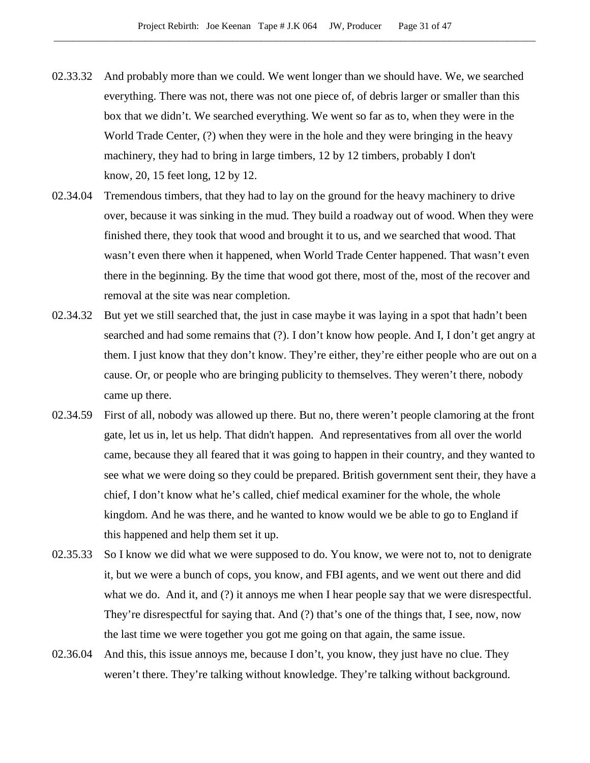- 02.33.32 And probably more than we could. We went longer than we should have. We, we searched everything. There was not, there was not one piece of, of debris larger or smaller than this box that we didn't. We searched everything. We went so far as to, when they were in the World Trade Center, (?) when they were in the hole and they were bringing in the heavy machinery, they had to bring in large timbers, 12 by 12 timbers, probably I don't know, 20, 15 feet long, 12 by 12.
- 02.34.04 Tremendous timbers, that they had to lay on the ground for the heavy machinery to drive over, because it was sinking in the mud. They build a roadway out of wood. When they were finished there, they took that wood and brought it to us, and we searched that wood. That wasn't even there when it happened, when World Trade Center happened. That wasn't even there in the beginning. By the time that wood got there, most of the, most of the recover and removal at the site was near completion.
- 02.34.32 But yet we still searched that, the just in case maybe it was laying in a spot that hadn't been searched and had some remains that (?). I don't know how people. And I, I don't get angry at them. I just know that they don't know. They're either, they're either people who are out on a cause. Or, or people who are bringing publicity to themselves. They weren't there, nobody came up there.
- 02.34.59 First of all, nobody was allowed up there. But no, there weren't people clamoring at the front gate, let us in, let us help. That didn't happen. And representatives from all over the world came, because they all feared that it was going to happen in their country, and they wanted to see what we were doing so they could be prepared. British government sent their, they have a chief, I don't know what he's called, chief medical examiner for the whole, the whole kingdom. And he was there, and he wanted to know would we be able to go to England if this happened and help them set it up.
- 02.35.33 So I know we did what we were supposed to do. You know, we were not to, not to denigrate it, but we were a bunch of cops, you know, and FBI agents, and we went out there and did what we do. And it, and (?) it annoys me when I hear people say that we were disrespectful. They're disrespectful for saying that. And (?) that's one of the things that, I see, now, now the last time we were together you got me going on that again, the same issue.
- 02.36.04 And this, this issue annoys me, because I don't, you know, they just have no clue. They weren't there. They're talking without knowledge. They're talking without background.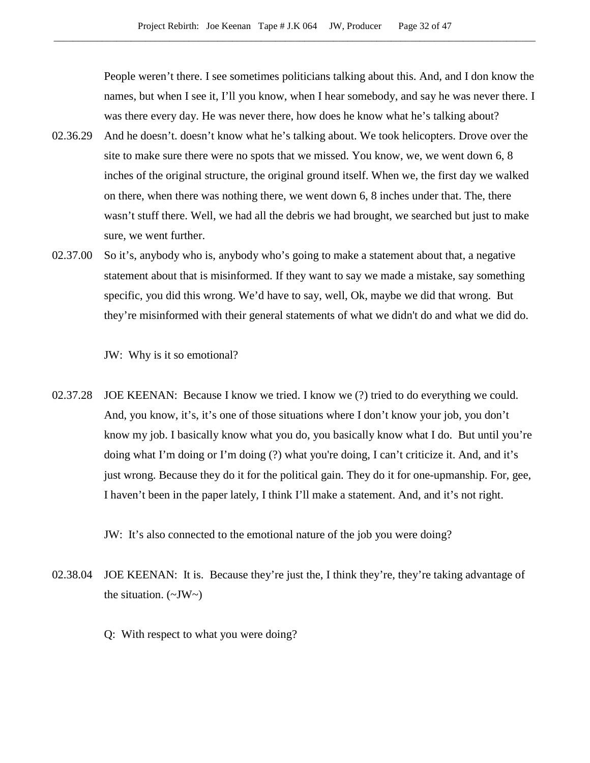People weren't there. I see sometimes politicians talking about this. And, and I don know the names, but when I see it, I'll you know, when I hear somebody, and say he was never there. I was there every day. He was never there, how does he know what he's talking about?

- 02.36.29 And he doesn't. doesn't know what he's talking about. We took helicopters. Drove over the site to make sure there were no spots that we missed. You know, we, we went down 6, 8 inches of the original structure, the original ground itself. When we, the first day we walked on there, when there was nothing there, we went down 6, 8 inches under that. The, there wasn't stuff there. Well, we had all the debris we had brought, we searched but just to make sure, we went further.
- 02.37.00 So it's, anybody who is, anybody who's going to make a statement about that, a negative statement about that is misinformed. If they want to say we made a mistake, say something specific, you did this wrong. We'd have to say, well, Ok, maybe we did that wrong. But they're misinformed with their general statements of what we didn't do and what we did do.

JW: Why is it so emotional?

02.37.28 JOE KEENAN: Because I know we tried. I know we (?) tried to do everything we could. And, you know, it's, it's one of those situations where I don't know your job, you don't know my job. I basically know what you do, you basically know what I do. But until you're doing what I'm doing or I'm doing (?) what you're doing, I can't criticize it. And, and it's just wrong. Because they do it for the political gain. They do it for one-upmanship. For, gee, I haven't been in the paper lately, I think I'll make a statement. And, and it's not right.

JW: It's also connected to the emotional nature of the job you were doing?

- 02.38.04 JOE KEENAN: It is. Because they're just the, I think they're, they're taking advantage of the situation.  $(\sim JW \sim)$ 
	- Q: With respect to what you were doing?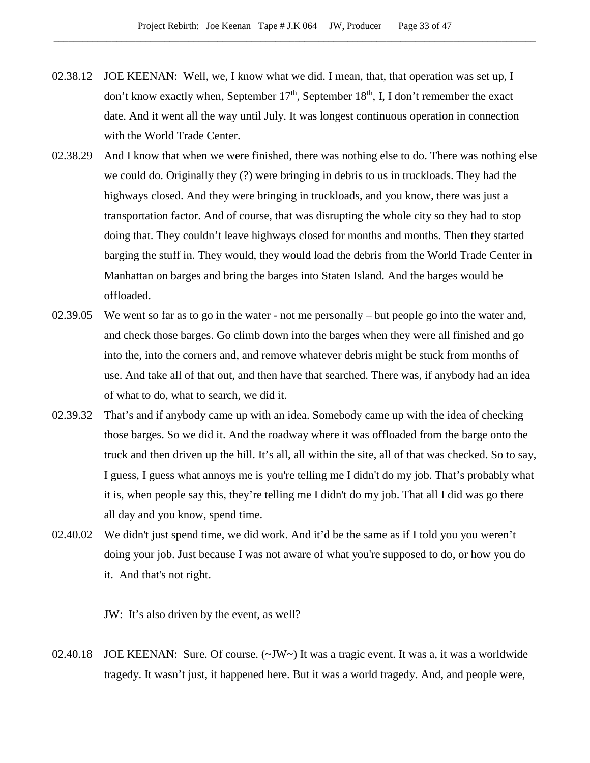- 02.38.12 JOE KEENAN: Well, we, I know what we did. I mean, that, that operation was set up, I don't know exactly when, September  $17<sup>th</sup>$ , September  $18<sup>th</sup>$ , I, I don't remember the exact date. And it went all the way until July. It was longest continuous operation in connection with the World Trade Center.
- 02.38.29 And I know that when we were finished, there was nothing else to do. There was nothing else we could do. Originally they (?) were bringing in debris to us in truckloads. They had the highways closed. And they were bringing in truckloads, and you know, there was just a transportation factor. And of course, that was disrupting the whole city so they had to stop doing that. They couldn't leave highways closed for months and months. Then they started barging the stuff in. They would, they would load the debris from the World Trade Center in Manhattan on barges and bring the barges into Staten Island. And the barges would be offloaded.
- 02.39.05 We went so far as to go in the water not me personally but people go into the water and, and check those barges. Go climb down into the barges when they were all finished and go into the, into the corners and, and remove whatever debris might be stuck from months of use. And take all of that out, and then have that searched. There was, if anybody had an idea of what to do, what to search, we did it.
- 02.39.32 That's and if anybody came up with an idea. Somebody came up with the idea of checking those barges. So we did it. And the roadway where it was offloaded from the barge onto the truck and then driven up the hill. It's all, all within the site, all of that was checked. So to say, I guess, I guess what annoys me is you're telling me I didn't do my job. That's probably what it is, when people say this, they're telling me I didn't do my job. That all I did was go there all day and you know, spend time.
- 02.40.02 We didn't just spend time, we did work. And it'd be the same as if I told you you weren't doing your job. Just because I was not aware of what you're supposed to do, or how you do it. And that's not right.

JW: It's also driven by the event, as well?

02.40.18 JOE KEENAN: Sure. Of course. (~JW~) It was a tragic event. It was a, it was a worldwide tragedy. It wasn't just, it happened here. But it was a world tragedy. And, and people were,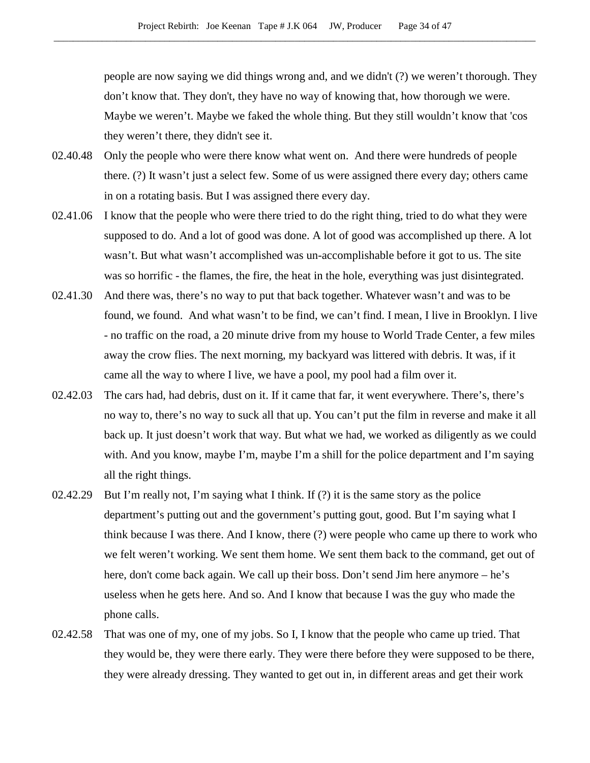people are now saying we did things wrong and, and we didn't (?) we weren't thorough. They don't know that. They don't, they have no way of knowing that, how thorough we were. Maybe we weren't. Maybe we faked the whole thing. But they still wouldn't know that 'cos they weren't there, they didn't see it.

- 02.40.48 Only the people who were there know what went on. And there were hundreds of people there. (?) It wasn't just a select few. Some of us were assigned there every day; others came in on a rotating basis. But I was assigned there every day.
- 02.41.06 I know that the people who were there tried to do the right thing, tried to do what they were supposed to do. And a lot of good was done. A lot of good was accomplished up there. A lot wasn't. But what wasn't accomplished was un-accomplishable before it got to us. The site was so horrific - the flames, the fire, the heat in the hole, everything was just disintegrated.
- 02.41.30 And there was, there's no way to put that back together. Whatever wasn't and was to be found, we found. And what wasn't to be find, we can't find. I mean, I live in Brooklyn. I live - no traffic on the road, a 20 minute drive from my house to World Trade Center, a few miles away the crow flies. The next morning, my backyard was littered with debris. It was, if it came all the way to where I live, we have a pool, my pool had a film over it.
- 02.42.03 The cars had, had debris, dust on it. If it came that far, it went everywhere. There's, there's no way to, there's no way to suck all that up. You can't put the film in reverse and make it all back up. It just doesn't work that way. But what we had, we worked as diligently as we could with. And you know, maybe I'm, maybe I'm a shill for the police department and I'm saying all the right things.
- 02.42.29 But I'm really not, I'm saying what I think. If (?) it is the same story as the police department's putting out and the government's putting gout, good. But I'm saying what I think because I was there. And I know, there (?) were people who came up there to work who we felt weren't working. We sent them home. We sent them back to the command, get out of here, don't come back again. We call up their boss. Don't send Jim here anymore – he's useless when he gets here. And so. And I know that because I was the guy who made the phone calls.
- 02.42.58 That was one of my, one of my jobs. So I, I know that the people who came up tried. That they would be, they were there early. They were there before they were supposed to be there, they were already dressing. They wanted to get out in, in different areas and get their work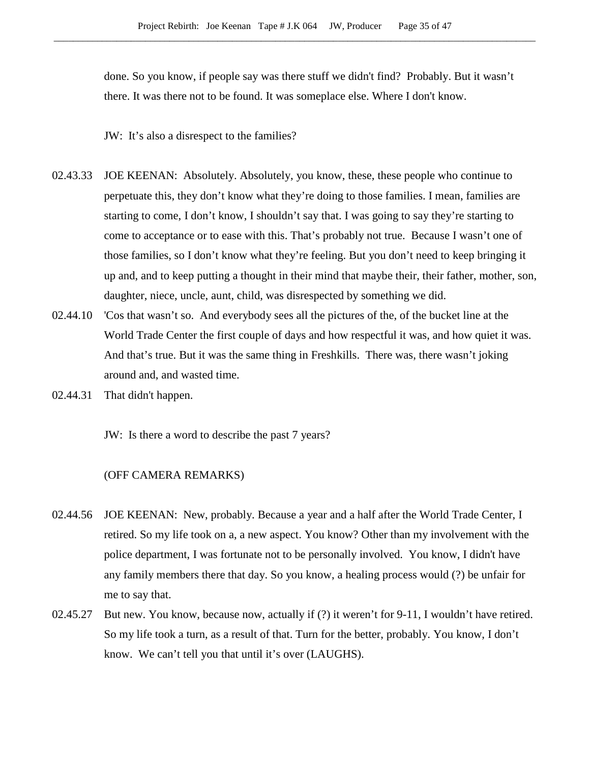done. So you know, if people say was there stuff we didn't find? Probably. But it wasn't there. It was there not to be found. It was someplace else. Where I don't know.

JW: It's also a disrespect to the families?

- 02.43.33 JOE KEENAN: Absolutely. Absolutely, you know, these, these people who continue to perpetuate this, they don't know what they're doing to those families. I mean, families are starting to come, I don't know, I shouldn't say that. I was going to say they're starting to come to acceptance or to ease with this. That's probably not true. Because I wasn't one of those families, so I don't know what they're feeling. But you don't need to keep bringing it up and, and to keep putting a thought in their mind that maybe their, their father, mother, son, daughter, niece, uncle, aunt, child, was disrespected by something we did.
- 02.44.10 'Cos that wasn't so. And everybody sees all the pictures of the, of the bucket line at the World Trade Center the first couple of days and how respectful it was, and how quiet it was. And that's true. But it was the same thing in Freshkills. There was, there wasn't joking around and, and wasted time.
- 02.44.31 That didn't happen.

JW: Is there a word to describe the past 7 years?

- 02.44.56 JOE KEENAN: New, probably. Because a year and a half after the World Trade Center, I retired. So my life took on a, a new aspect. You know? Other than my involvement with the police department, I was fortunate not to be personally involved. You know, I didn't have any family members there that day. So you know, a healing process would (?) be unfair for me to say that.
- 02.45.27 But new. You know, because now, actually if (?) it weren't for 9-11, I wouldn't have retired. So my life took a turn, as a result of that. Turn for the better, probably. You know, I don't know. We can't tell you that until it's over (LAUGHS).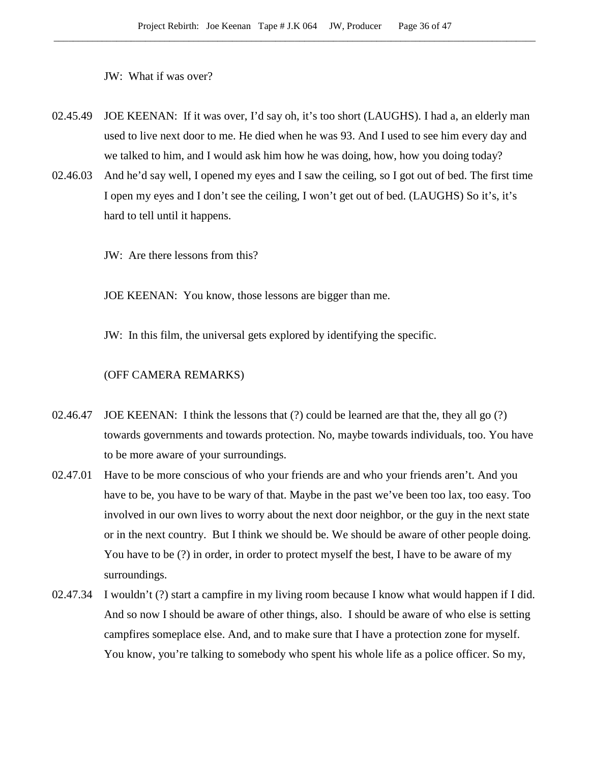JW: What if was over?

- 02.45.49 JOE KEENAN: If it was over, I'd say oh, it's too short (LAUGHS). I had a, an elderly man used to live next door to me. He died when he was 93. And I used to see him every day and we talked to him, and I would ask him how he was doing, how, how you doing today?
- 02.46.03 And he'd say well, I opened my eyes and I saw the ceiling, so I got out of bed. The first time I open my eyes and I don't see the ceiling, I won't get out of bed. (LAUGHS) So it's, it's hard to tell until it happens.
	- JW: Are there lessons from this?

JOE KEENAN: You know, those lessons are bigger than me.

JW: In this film, the universal gets explored by identifying the specific.

- 02.46.47 JOE KEENAN: I think the lessons that (?) could be learned are that the, they all go (?) towards governments and towards protection. No, maybe towards individuals, too. You have to be more aware of your surroundings.
- 02.47.01 Have to be more conscious of who your friends are and who your friends aren't. And you have to be, you have to be wary of that. Maybe in the past we've been too lax, too easy. Too involved in our own lives to worry about the next door neighbor, or the guy in the next state or in the next country. But I think we should be. We should be aware of other people doing. You have to be (?) in order, in order to protect myself the best, I have to be aware of my surroundings.
- 02.47.34 I wouldn't (?) start a campfire in my living room because I know what would happen if I did. And so now I should be aware of other things, also. I should be aware of who else is setting campfires someplace else. And, and to make sure that I have a protection zone for myself. You know, you're talking to somebody who spent his whole life as a police officer. So my,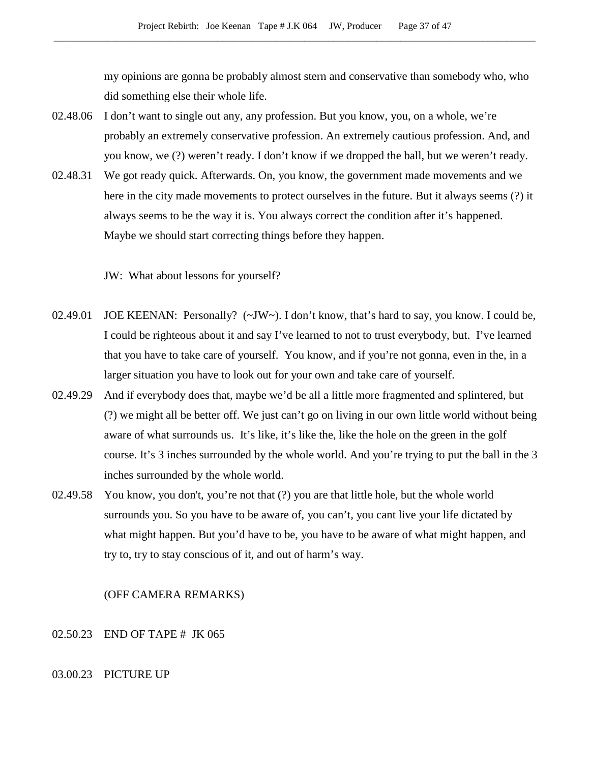my opinions are gonna be probably almost stern and conservative than somebody who, who did something else their whole life.

- 02.48.06 I don't want to single out any, any profession. But you know, you, on a whole, we're probably an extremely conservative profession. An extremely cautious profession. And, and you know, we (?) weren't ready. I don't know if we dropped the ball, but we weren't ready.
- 02.48.31 We got ready quick. Afterwards. On, you know, the government made movements and we here in the city made movements to protect ourselves in the future. But it always seems (?) it always seems to be the way it is. You always correct the condition after it's happened. Maybe we should start correcting things before they happen.

JW: What about lessons for yourself?

- 02.49.01 JOE KEENAN: Personally? (~JW~). I don't know, that's hard to say, you know. I could be, I could be righteous about it and say I've learned to not to trust everybody, but. I've learned that you have to take care of yourself. You know, and if you're not gonna, even in the, in a larger situation you have to look out for your own and take care of yourself.
- 02.49.29 And if everybody does that, maybe we'd be all a little more fragmented and splintered, but (?) we might all be better off. We just can't go on living in our own little world without being aware of what surrounds us. It's like, it's like the, like the hole on the green in the golf course. It's 3 inches surrounded by the whole world. And you're trying to put the ball in the 3 inches surrounded by the whole world.
- 02.49.58 You know, you don't, you're not that (?) you are that little hole, but the whole world surrounds you. So you have to be aware of, you can't, you cant live your life dictated by what might happen. But you'd have to be, you have to be aware of what might happen, and try to, try to stay conscious of it, and out of harm's way.

# (OFF CAMERA REMARKS)

#### 02.50.23 END OF TAPE # JK 065

#### 03.00.23 PICTURE UP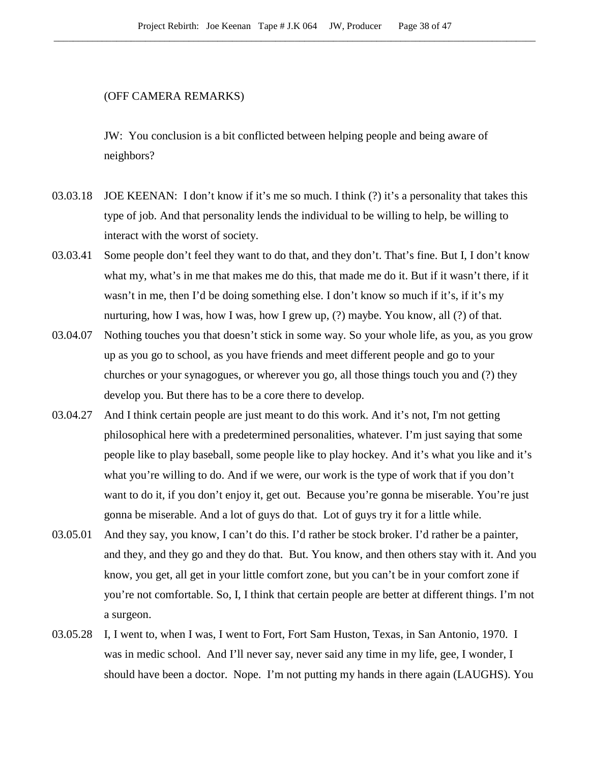# (OFF CAMERA REMARKS)

JW: You conclusion is a bit conflicted between helping people and being aware of neighbors?

- 03.03.18 JOE KEENAN: I don't know if it's me so much. I think (?) it's a personality that takes this type of job. And that personality lends the individual to be willing to help, be willing to interact with the worst of society.
- 03.03.41 Some people don't feel they want to do that, and they don't. That's fine. But I, I don't know what my, what's in me that makes me do this, that made me do it. But if it wasn't there, if it wasn't in me, then I'd be doing something else. I don't know so much if it's, if it's my nurturing, how I was, how I was, how I grew up, (?) maybe. You know, all (?) of that.
- 03.04.07 Nothing touches you that doesn't stick in some way. So your whole life, as you, as you grow up as you go to school, as you have friends and meet different people and go to your churches or your synagogues, or wherever you go, all those things touch you and (?) they develop you. But there has to be a core there to develop.
- 03.04.27 And I think certain people are just meant to do this work. And it's not, I'm not getting philosophical here with a predetermined personalities, whatever. I'm just saying that some people like to play baseball, some people like to play hockey. And it's what you like and it's what you're willing to do. And if we were, our work is the type of work that if you don't want to do it, if you don't enjoy it, get out. Because you're gonna be miserable. You're just gonna be miserable. And a lot of guys do that. Lot of guys try it for a little while.
- 03.05.01 And they say, you know, I can't do this. I'd rather be stock broker. I'd rather be a painter, and they, and they go and they do that. But. You know, and then others stay with it. And you know, you get, all get in your little comfort zone, but you can't be in your comfort zone if you're not comfortable. So, I, I think that certain people are better at different things. I'm not a surgeon.
- 03.05.28 I, I went to, when I was, I went to Fort, Fort Sam Huston, Texas, in San Antonio, 1970. I was in medic school. And I'll never say, never said any time in my life, gee, I wonder, I should have been a doctor. Nope. I'm not putting my hands in there again (LAUGHS). You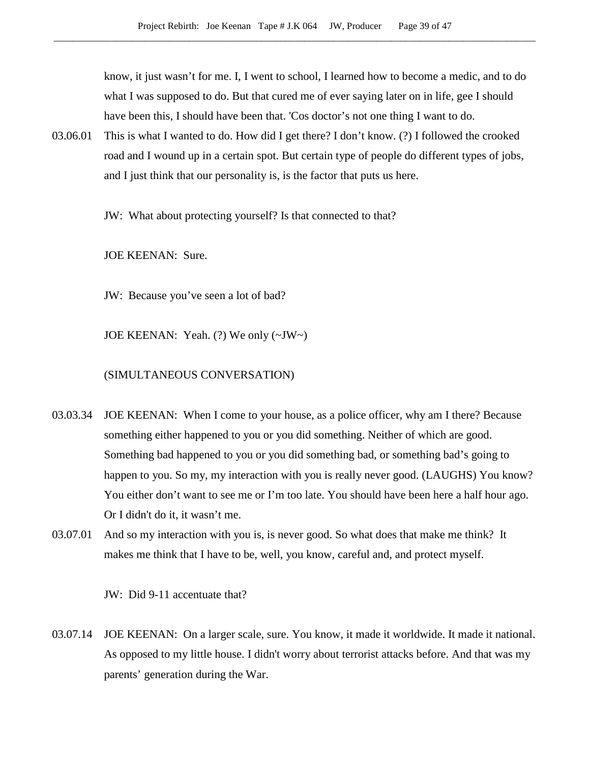know, it just wasn't for me. I, I went to school, I learned how to become a medic, and to do what I was supposed to do. But that cured me of ever saying later on in life, gee I should have been this, I should have been that. 'Cos doctor's not one thing I want to do.

03.06.01 This is what I wanted to do. How did I get there? I don't know. (?) I followed the crooked road and I wound up in a certain spot. But certain type of people do different types of jobs, and I just think that our personality is, is the factor that puts us here.

JW: What about protecting yourself? Is that connected to that?

JOE KEENAN: Sure.

JW: Because you've seen a lot of bad?

JOE KEENAN: Yeah. (?) We only (~JW~)

#### (SIMULTANEOUS CONVERSATION)

- 03.03.34 JOE KEENAN: When I come to your house, as a police officer, why am I there? Because something either happened to you or you did something. Neither of which are good. Something bad happened to you or you did something bad, or something bad's going to happen to you. So my, my interaction with you is really never good. (LAUGHS) You know? You either don't want to see me or I'm too late. You should have been here a half hour ago. Or I didn't do it, it wasn't me.
- 03.07.01 And so my interaction with you is, is never good. So what does that make me think? It makes me think that I have to be, well, you know, careful and, and protect myself.

JW: Did 9-11 accentuate that?

03.07.14 JOE KEENAN: On a larger scale, sure. You know, it made it worldwide. It made it national. As opposed to my little house. I didn't worry about terrorist attacks before. And that was my parents' generation during the War.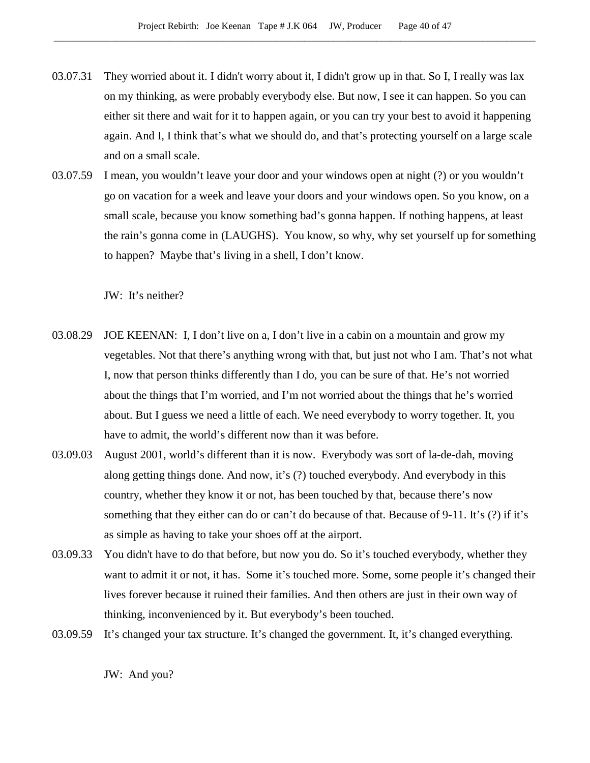- 03.07.31 They worried about it. I didn't worry about it, I didn't grow up in that. So I, I really was lax on my thinking, as were probably everybody else. But now, I see it can happen. So you can either sit there and wait for it to happen again, or you can try your best to avoid it happening again. And I, I think that's what we should do, and that's protecting yourself on a large scale and on a small scale.
- 03.07.59 I mean, you wouldn't leave your door and your windows open at night (?) or you wouldn't go on vacation for a week and leave your doors and your windows open. So you know, on a small scale, because you know something bad's gonna happen. If nothing happens, at least the rain's gonna come in (LAUGHS). You know, so why, why set yourself up for something to happen? Maybe that's living in a shell, I don't know.

JW: It's neither?

- 03.08.29 JOE KEENAN: I, I don't live on a, I don't live in a cabin on a mountain and grow my vegetables. Not that there's anything wrong with that, but just not who I am. That's not what I, now that person thinks differently than I do, you can be sure of that. He's not worried about the things that I'm worried, and I'm not worried about the things that he's worried about. But I guess we need a little of each. We need everybody to worry together. It, you have to admit, the world's different now than it was before.
- 03.09.03 August 2001, world's different than it is now. Everybody was sort of la-de-dah, moving along getting things done. And now, it's (?) touched everybody. And everybody in this country, whether they know it or not, has been touched by that, because there's now something that they either can do or can't do because of that. Because of 9-11. It's (?) if it's as simple as having to take your shoes off at the airport.
- 03.09.33 You didn't have to do that before, but now you do. So it's touched everybody, whether they want to admit it or not, it has. Some it's touched more. Some, some people it's changed their lives forever because it ruined their families. And then others are just in their own way of thinking, inconvenienced by it. But everybody's been touched.
- 03.09.59 It's changed your tax structure. It's changed the government. It, it's changed everything.

JW: And you?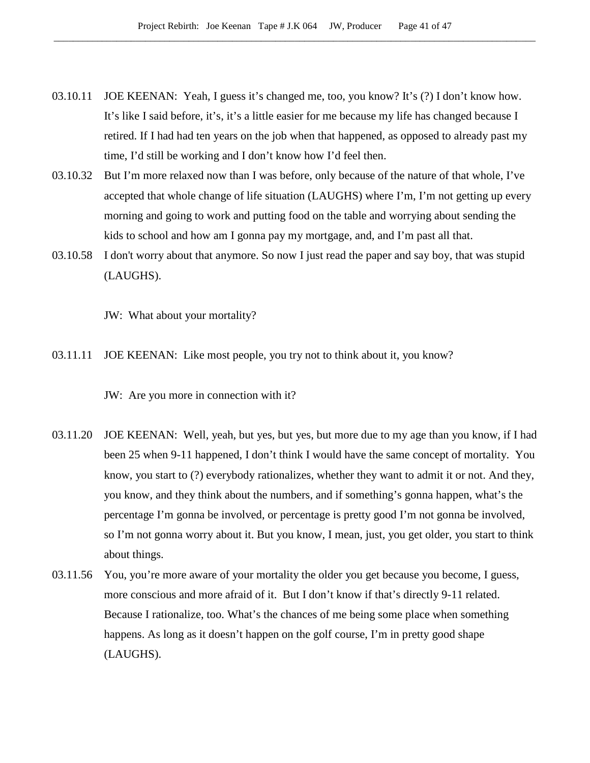- 03.10.11 JOE KEENAN: Yeah, I guess it's changed me, too, you know? It's (?) I don't know how. It's like I said before, it's, it's a little easier for me because my life has changed because I retired. If I had had ten years on the job when that happened, as opposed to already past my time, I'd still be working and I don't know how I'd feel then.
- 03.10.32 But I'm more relaxed now than I was before, only because of the nature of that whole, I've accepted that whole change of life situation (LAUGHS) where I'm, I'm not getting up every morning and going to work and putting food on the table and worrying about sending the kids to school and how am I gonna pay my mortgage, and, and I'm past all that.
- 03.10.58 I don't worry about that anymore. So now I just read the paper and say boy, that was stupid (LAUGHS).

JW: What about your mortality?

03.11.11 JOE KEENAN: Like most people, you try not to think about it, you know?

JW: Are you more in connection with it?

- 03.11.20 JOE KEENAN: Well, yeah, but yes, but yes, but more due to my age than you know, if I had been 25 when 9-11 happened, I don't think I would have the same concept of mortality. You know, you start to (?) everybody rationalizes, whether they want to admit it or not. And they, you know, and they think about the numbers, and if something's gonna happen, what's the percentage I'm gonna be involved, or percentage is pretty good I'm not gonna be involved, so I'm not gonna worry about it. But you know, I mean, just, you get older, you start to think about things.
- 03.11.56 You, you're more aware of your mortality the older you get because you become, I guess, more conscious and more afraid of it. But I don't know if that's directly 9-11 related. Because I rationalize, too. What's the chances of me being some place when something happens. As long as it doesn't happen on the golf course, I'm in pretty good shape (LAUGHS).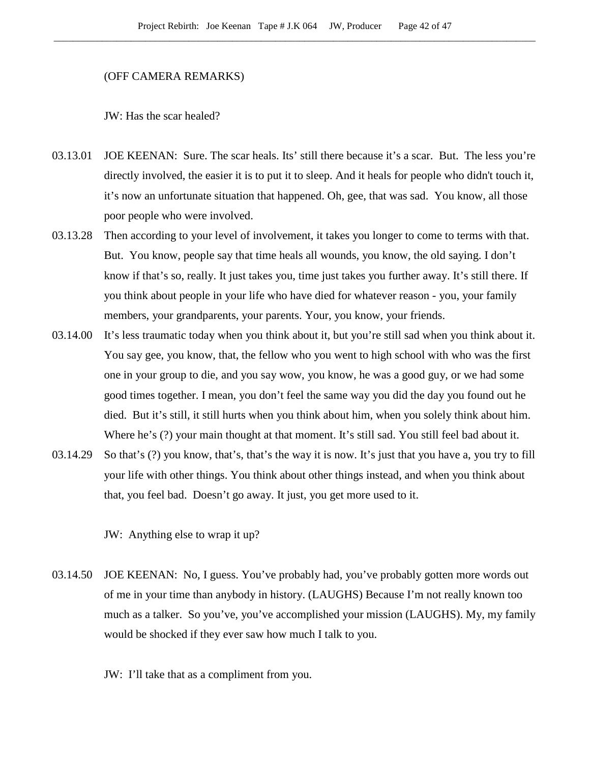#### (OFF CAMERA REMARKS)

JW: Has the scar healed?

- 03.13.01 JOE KEENAN: Sure. The scar heals. Its' still there because it's a scar. But. The less you're directly involved, the easier it is to put it to sleep. And it heals for people who didn't touch it, it's now an unfortunate situation that happened. Oh, gee, that was sad. You know, all those poor people who were involved.
- 03.13.28 Then according to your level of involvement, it takes you longer to come to terms with that. But. You know, people say that time heals all wounds, you know, the old saying. I don't know if that's so, really. It just takes you, time just takes you further away. It's still there. If you think about people in your life who have died for whatever reason - you, your family members, your grandparents, your parents. Your, you know, your friends.
- 03.14.00 It's less traumatic today when you think about it, but you're still sad when you think about it. You say gee, you know, that, the fellow who you went to high school with who was the first one in your group to die, and you say wow, you know, he was a good guy, or we had some good times together. I mean, you don't feel the same way you did the day you found out he died. But it's still, it still hurts when you think about him, when you solely think about him. Where he's (?) your main thought at that moment. It's still sad. You still feel bad about it.
- 03.14.29 So that's (?) you know, that's, that's the way it is now. It's just that you have a, you try to fill your life with other things. You think about other things instead, and when you think about that, you feel bad. Doesn't go away. It just, you get more used to it.

JW: Anything else to wrap it up?

03.14.50 JOE KEENAN: No, I guess. You've probably had, you've probably gotten more words out of me in your time than anybody in history. (LAUGHS) Because I'm not really known too much as a talker. So you've, you've accomplished your mission (LAUGHS). My, my family would be shocked if they ever saw how much I talk to you.

JW: I'll take that as a compliment from you.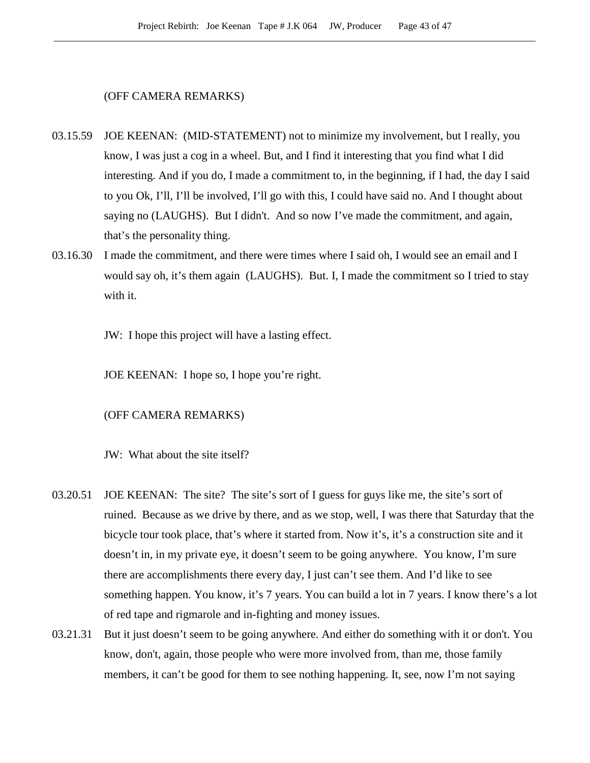# (OFF CAMERA REMARKS)

- 03.15.59 JOE KEENAN: (MID-STATEMENT) not to minimize my involvement, but I really, you know, I was just a cog in a wheel. But, and I find it interesting that you find what I did interesting. And if you do, I made a commitment to, in the beginning, if I had, the day I said to you Ok, I'll, I'll be involved, I'll go with this, I could have said no. And I thought about saying no (LAUGHS). But I didn't. And so now I've made the commitment, and again, that's the personality thing.
- 03.16.30 I made the commitment, and there were times where I said oh, I would see an email and I would say oh, it's them again (LAUGHS). But. I, I made the commitment so I tried to stay with it.

JW: I hope this project will have a lasting effect.

JOE KEENAN: I hope so, I hope you're right.

# (OFF CAMERA REMARKS)

JW: What about the site itself?

- 03.20.51 JOE KEENAN: The site? The site's sort of I guess for guys like me, the site's sort of ruined. Because as we drive by there, and as we stop, well, I was there that Saturday that the bicycle tour took place, that's where it started from. Now it's, it's a construction site and it doesn't in, in my private eye, it doesn't seem to be going anywhere. You know, I'm sure there are accomplishments there every day, I just can't see them. And I'd like to see something happen. You know, it's 7 years. You can build a lot in 7 years. I know there's a lot of red tape and rigmarole and in-fighting and money issues.
- 03.21.31 But it just doesn't seem to be going anywhere. And either do something with it or don't. You know, don't, again, those people who were more involved from, than me, those family members, it can't be good for them to see nothing happening. It, see, now I'm not saying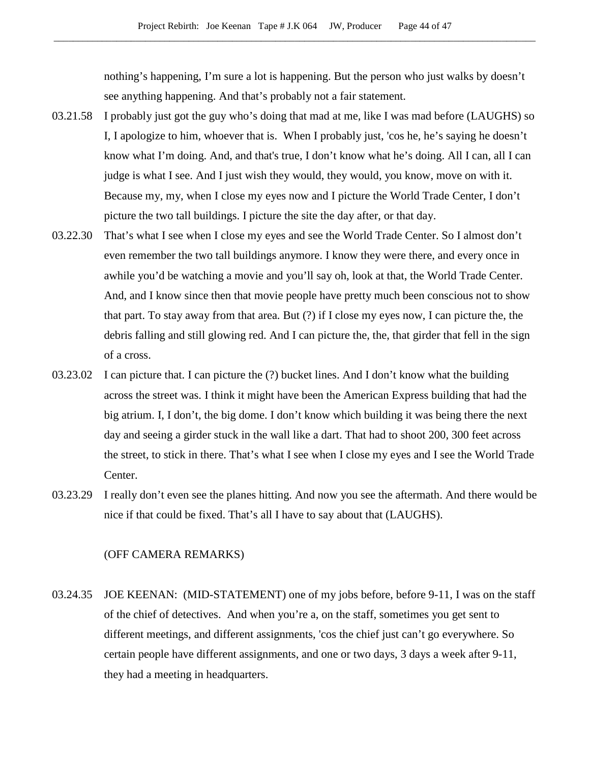nothing's happening, I'm sure a lot is happening. But the person who just walks by doesn't see anything happening. And that's probably not a fair statement.

- 03.21.58 I probably just got the guy who's doing that mad at me, like I was mad before (LAUGHS) so I, I apologize to him, whoever that is. When I probably just, 'cos he, he's saying he doesn't know what I'm doing. And, and that's true, I don't know what he's doing. All I can, all I can judge is what I see. And I just wish they would, they would, you know, move on with it. Because my, my, when I close my eyes now and I picture the World Trade Center, I don't picture the two tall buildings. I picture the site the day after, or that day.
- 03.22.30 That's what I see when I close my eyes and see the World Trade Center. So I almost don't even remember the two tall buildings anymore. I know they were there, and every once in awhile you'd be watching a movie and you'll say oh, look at that, the World Trade Center. And, and I know since then that movie people have pretty much been conscious not to show that part. To stay away from that area. But (?) if I close my eyes now, I can picture the, the debris falling and still glowing red. And I can picture the, the, that girder that fell in the sign of a cross.
- 03.23.02 I can picture that. I can picture the (?) bucket lines. And I don't know what the building across the street was. I think it might have been the American Express building that had the big atrium. I, I don't, the big dome. I don't know which building it was being there the next day and seeing a girder stuck in the wall like a dart. That had to shoot 200, 300 feet across the street, to stick in there. That's what I see when I close my eyes and I see the World Trade Center.
- 03.23.29 I really don't even see the planes hitting. And now you see the aftermath. And there would be nice if that could be fixed. That's all I have to say about that (LAUGHS).

#### (OFF CAMERA REMARKS)

03.24.35 JOE KEENAN: (MID-STATEMENT) one of my jobs before, before 9-11, I was on the staff of the chief of detectives. And when you're a, on the staff, sometimes you get sent to different meetings, and different assignments, 'cos the chief just can't go everywhere. So certain people have different assignments, and one or two days, 3 days a week after 9-11, they had a meeting in headquarters.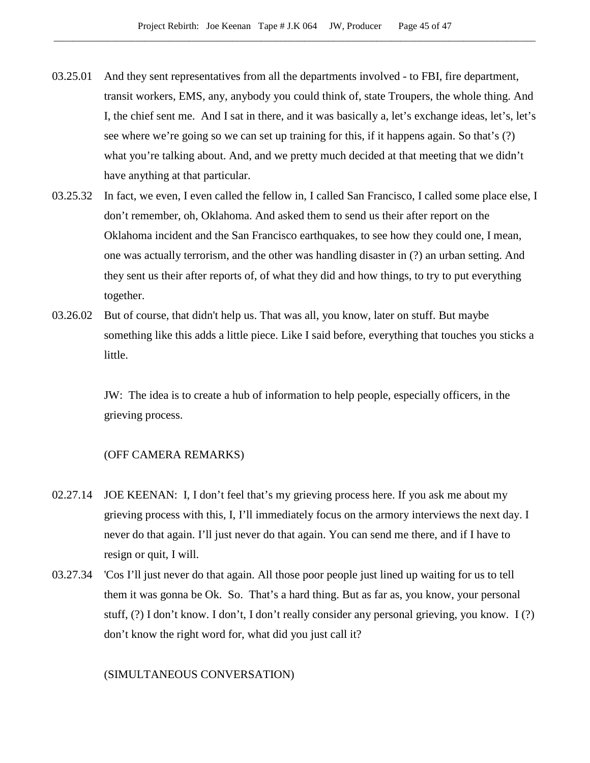- 03.25.01 And they sent representatives from all the departments involved to FBI, fire department, transit workers, EMS, any, anybody you could think of, state Troupers, the whole thing. And I, the chief sent me. And I sat in there, and it was basically a, let's exchange ideas, let's, let's see where we're going so we can set up training for this, if it happens again. So that's (?) what you're talking about. And, and we pretty much decided at that meeting that we didn't have anything at that particular.
- 03.25.32 In fact, we even, I even called the fellow in, I called San Francisco, I called some place else, I don't remember, oh, Oklahoma. And asked them to send us their after report on the Oklahoma incident and the San Francisco earthquakes, to see how they could one, I mean, one was actually terrorism, and the other was handling disaster in (?) an urban setting. And they sent us their after reports of, of what they did and how things, to try to put everything together.
- 03.26.02 But of course, that didn't help us. That was all, you know, later on stuff. But maybe something like this adds a little piece. Like I said before, everything that touches you sticks a little.

JW: The idea is to create a hub of information to help people, especially officers, in the grieving process.

# (OFF CAMERA REMARKS)

- 02.27.14 JOE KEENAN: I, I don't feel that's my grieving process here. If you ask me about my grieving process with this, I, I'll immediately focus on the armory interviews the next day. I never do that again. I'll just never do that again. You can send me there, and if I have to resign or quit, I will.
- 03.27.34 'Cos I'll just never do that again. All those poor people just lined up waiting for us to tell them it was gonna be Ok. So. That's a hard thing. But as far as, you know, your personal stuff, (?) I don't know. I don't, I don't really consider any personal grieving, you know. I (?) don't know the right word for, what did you just call it?

### (SIMULTANEOUS CONVERSATION)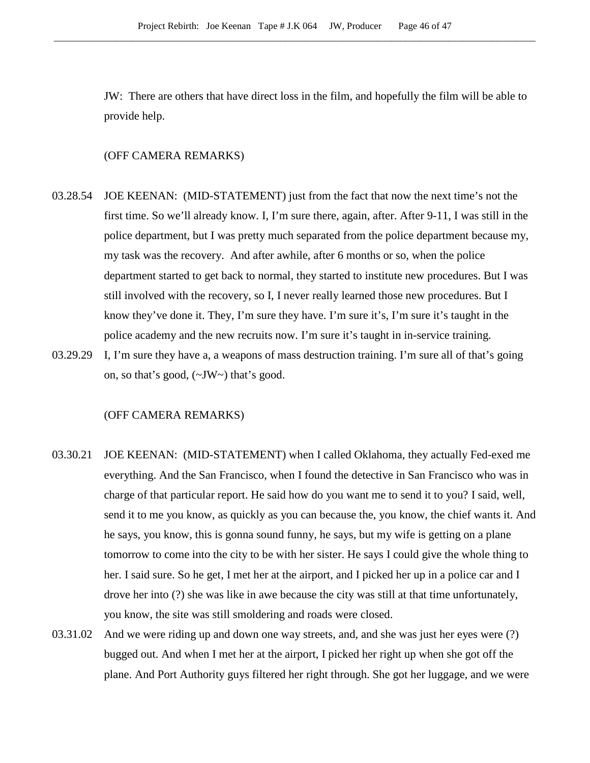JW: There are others that have direct loss in the film, and hopefully the film will be able to provide help.

# (OFF CAMERA REMARKS)

- 03.28.54 JOE KEENAN: (MID-STATEMENT) just from the fact that now the next time's not the first time. So we'll already know. I, I'm sure there, again, after. After 9-11, I was still in the police department, but I was pretty much separated from the police department because my, my task was the recovery. And after awhile, after 6 months or so, when the police department started to get back to normal, they started to institute new procedures. But I was still involved with the recovery, so I, I never really learned those new procedures. But I know they've done it. They, I'm sure they have. I'm sure it's, I'm sure it's taught in the police academy and the new recruits now. I'm sure it's taught in in-service training.
- 03.29.29 I, I'm sure they have a, a weapons of mass destruction training. I'm sure all of that's going on, so that's good, (~JW~) that's good.

- 03.30.21 JOE KEENAN: (MID-STATEMENT) when I called Oklahoma, they actually Fed-exed me everything. And the San Francisco, when I found the detective in San Francisco who was in charge of that particular report. He said how do you want me to send it to you? I said, well, send it to me you know, as quickly as you can because the, you know, the chief wants it. And he says, you know, this is gonna sound funny, he says, but my wife is getting on a plane tomorrow to come into the city to be with her sister. He says I could give the whole thing to her. I said sure. So he get, I met her at the airport, and I picked her up in a police car and I drove her into (?) she was like in awe because the city was still at that time unfortunately, you know, the site was still smoldering and roads were closed.
- 03.31.02 And we were riding up and down one way streets, and, and she was just her eyes were (?) bugged out. And when I met her at the airport, I picked her right up when she got off the plane. And Port Authority guys filtered her right through. She got her luggage, and we were